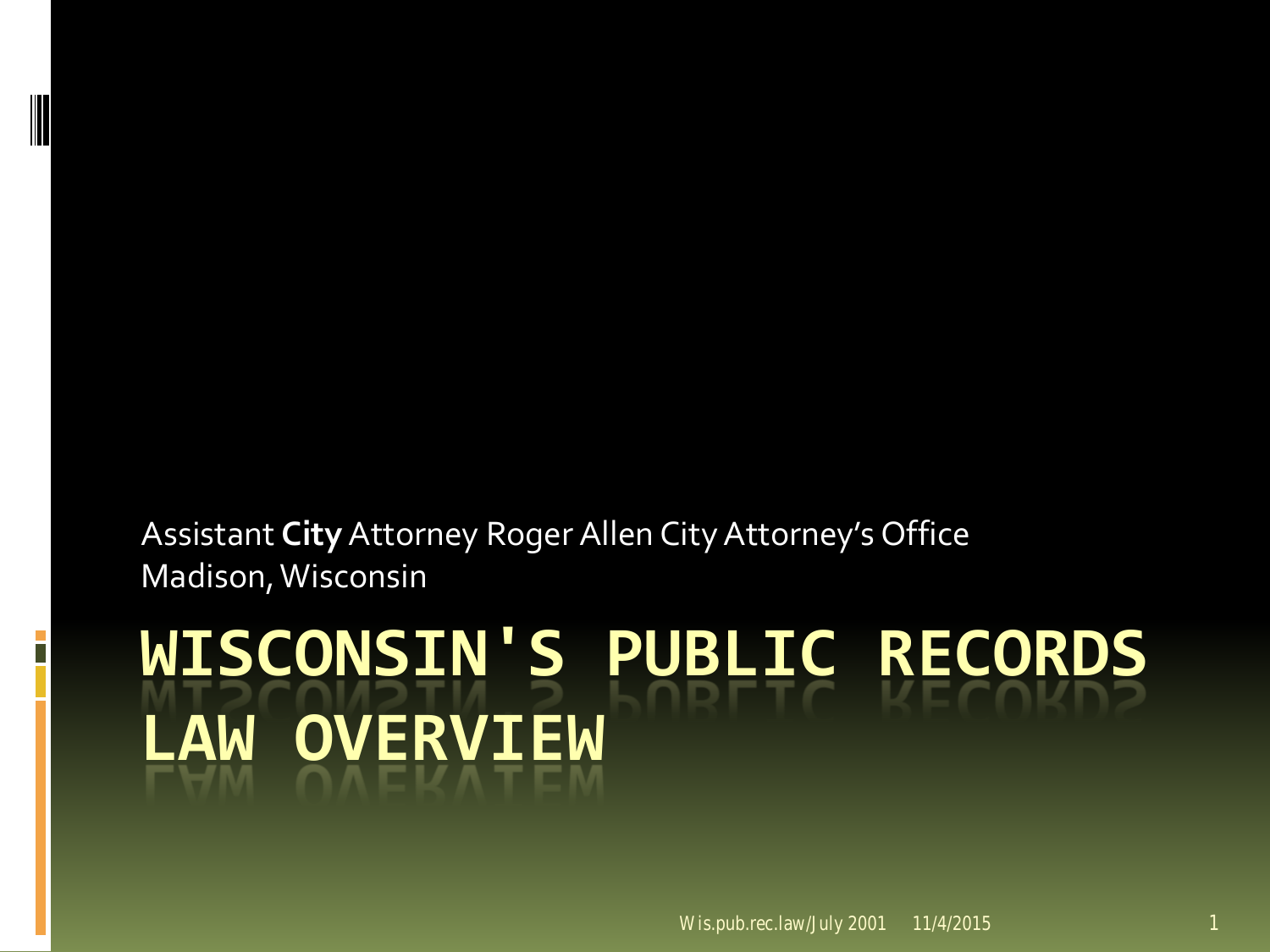Assistant **City**Attorney Roger Allen City Attorney's Office Madison, Wisconsin

# **WISCONSIN'S PUBLIC RECORDS LAW OVERVIEW**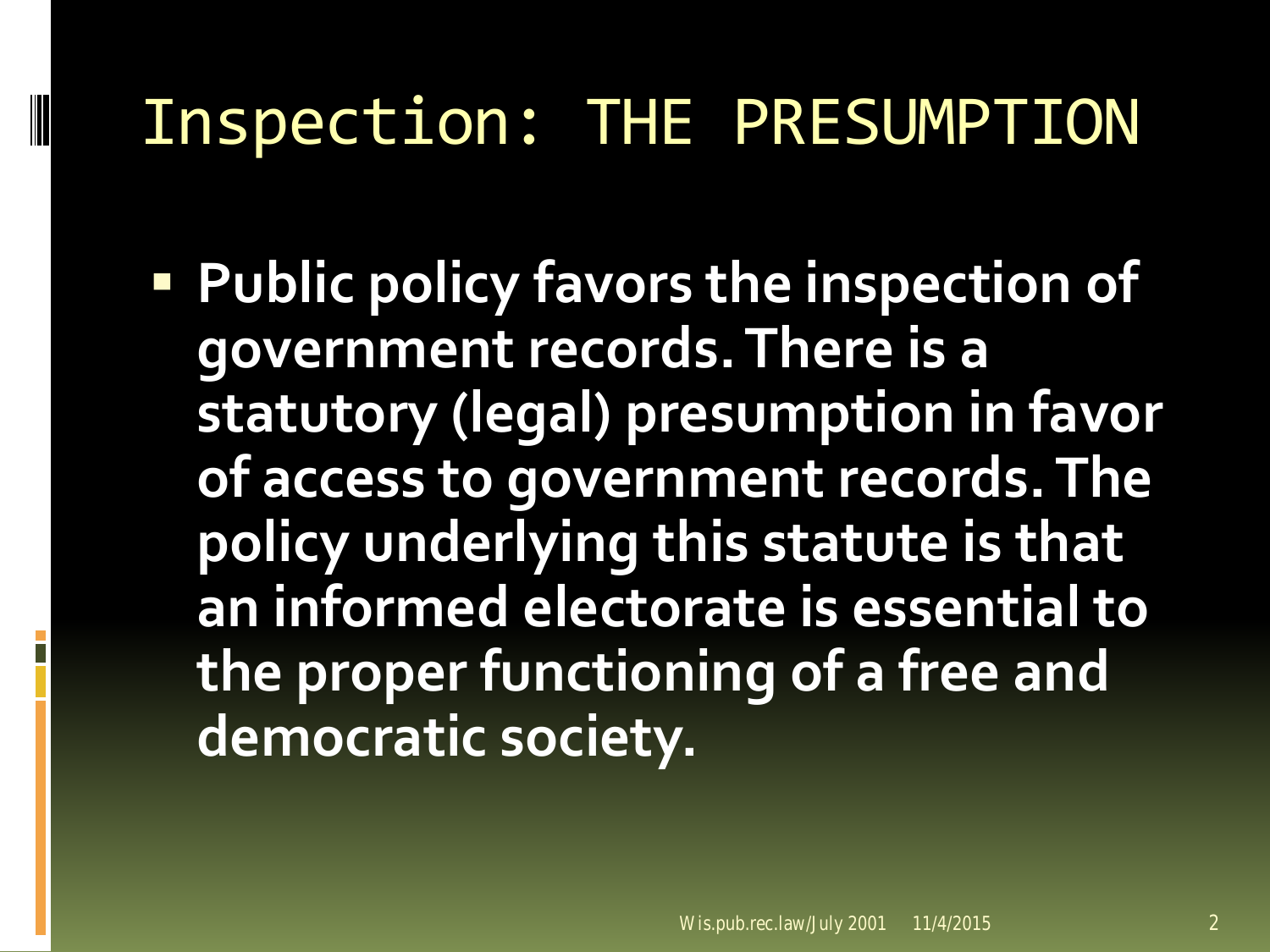#### Inspection: THE PRESUMPTION

**Public policy favors the inspection of government records. There is a statutory (legal) presumption in favor of access to government records. The policy underlying this statute is that an informed electorate is essential to the proper functioning of a free and democratic society.**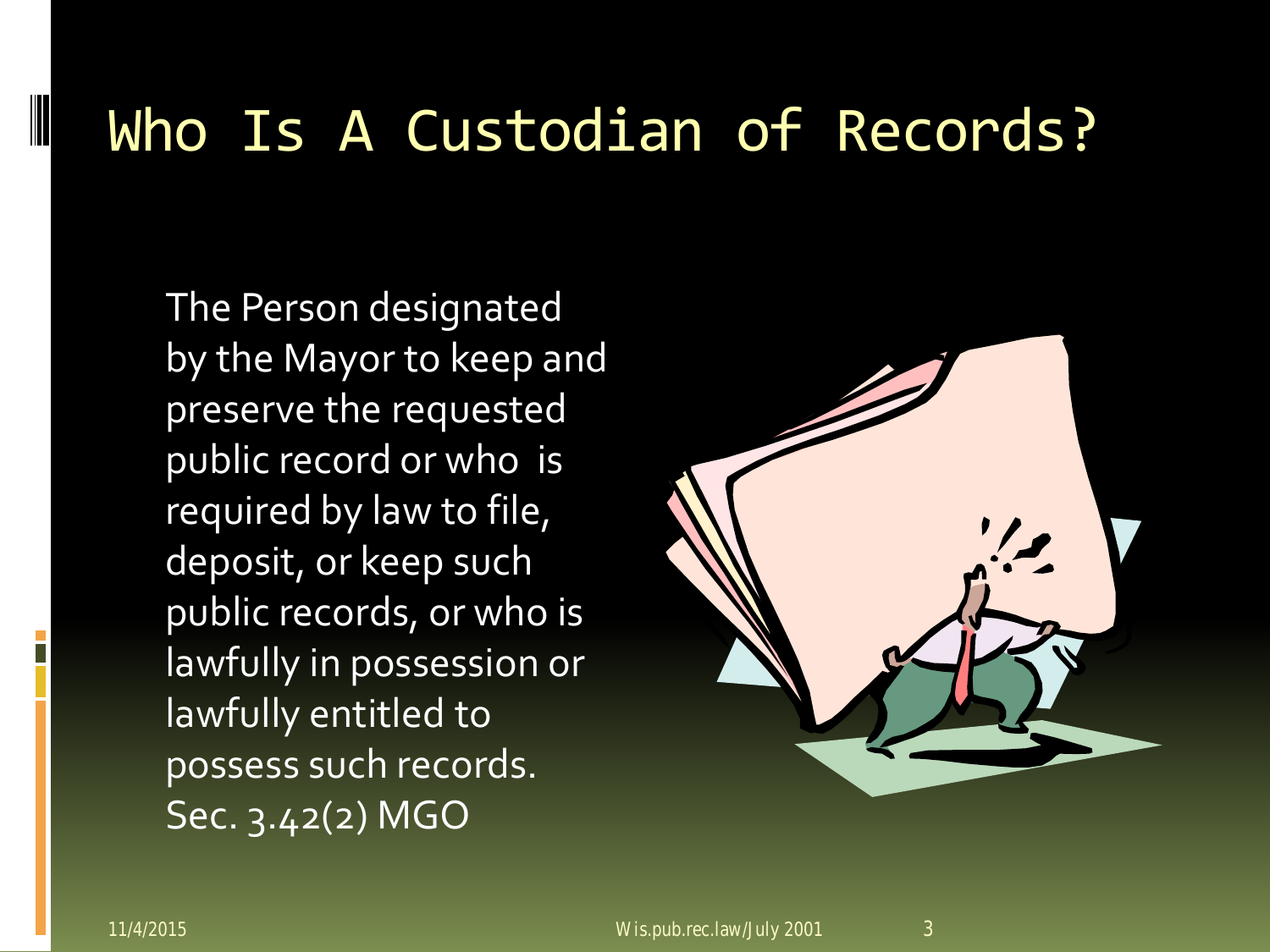#### Who Is A Custodian of Records?

The Person designated by the Mayor to keep and preserve the requested public record or who is required by law to file, deposit, or keep such public records, or who is lawfully in possession or lawfully entitled to possess such records. Sec. 3.42(2) MGO

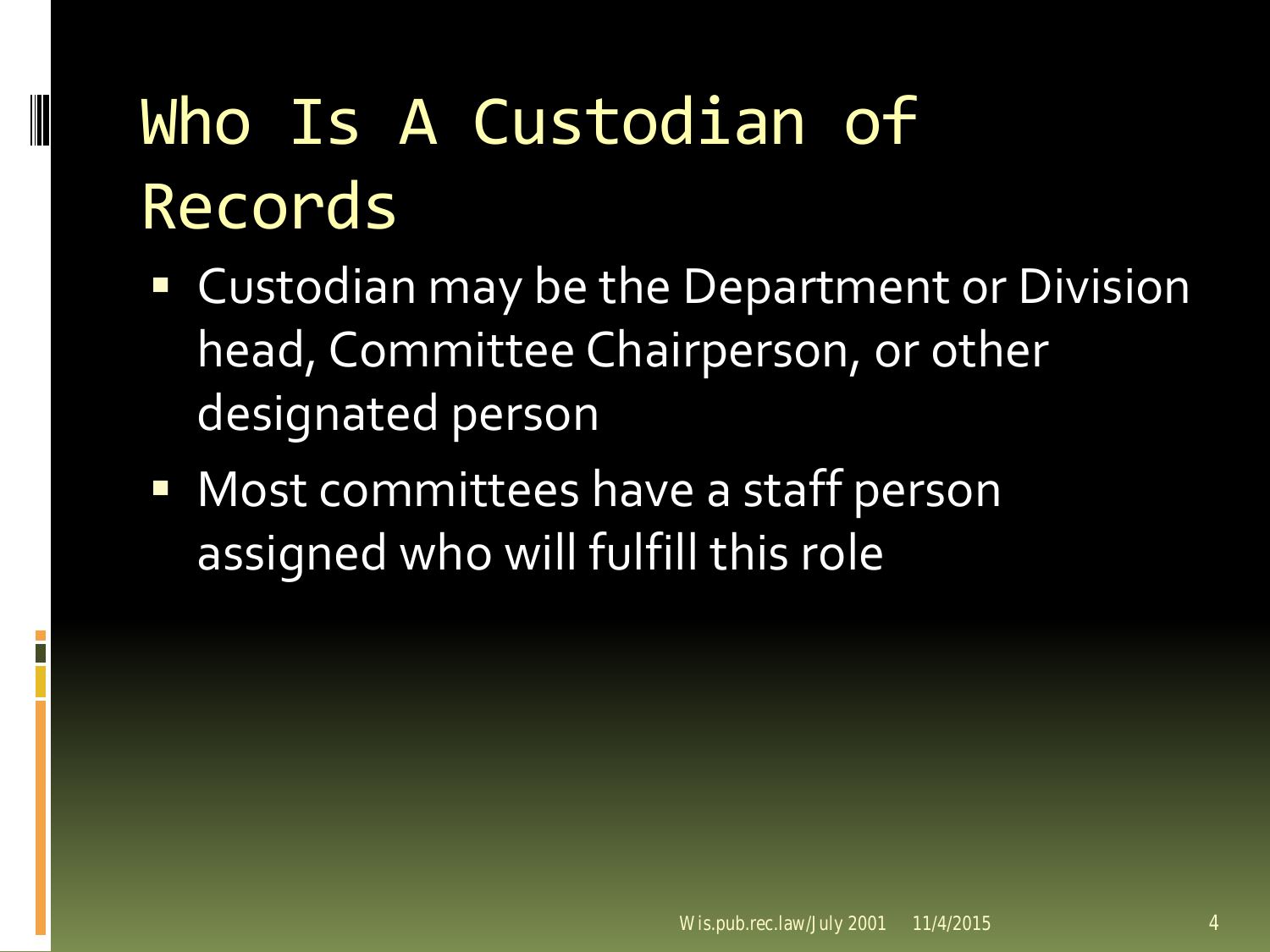# Who Is A Custodian of Records

- Custodian may be the Department or Division head, Committee Chairperson, or other designated person
- **Nost committees have a staff person** assigned who will fulfill this role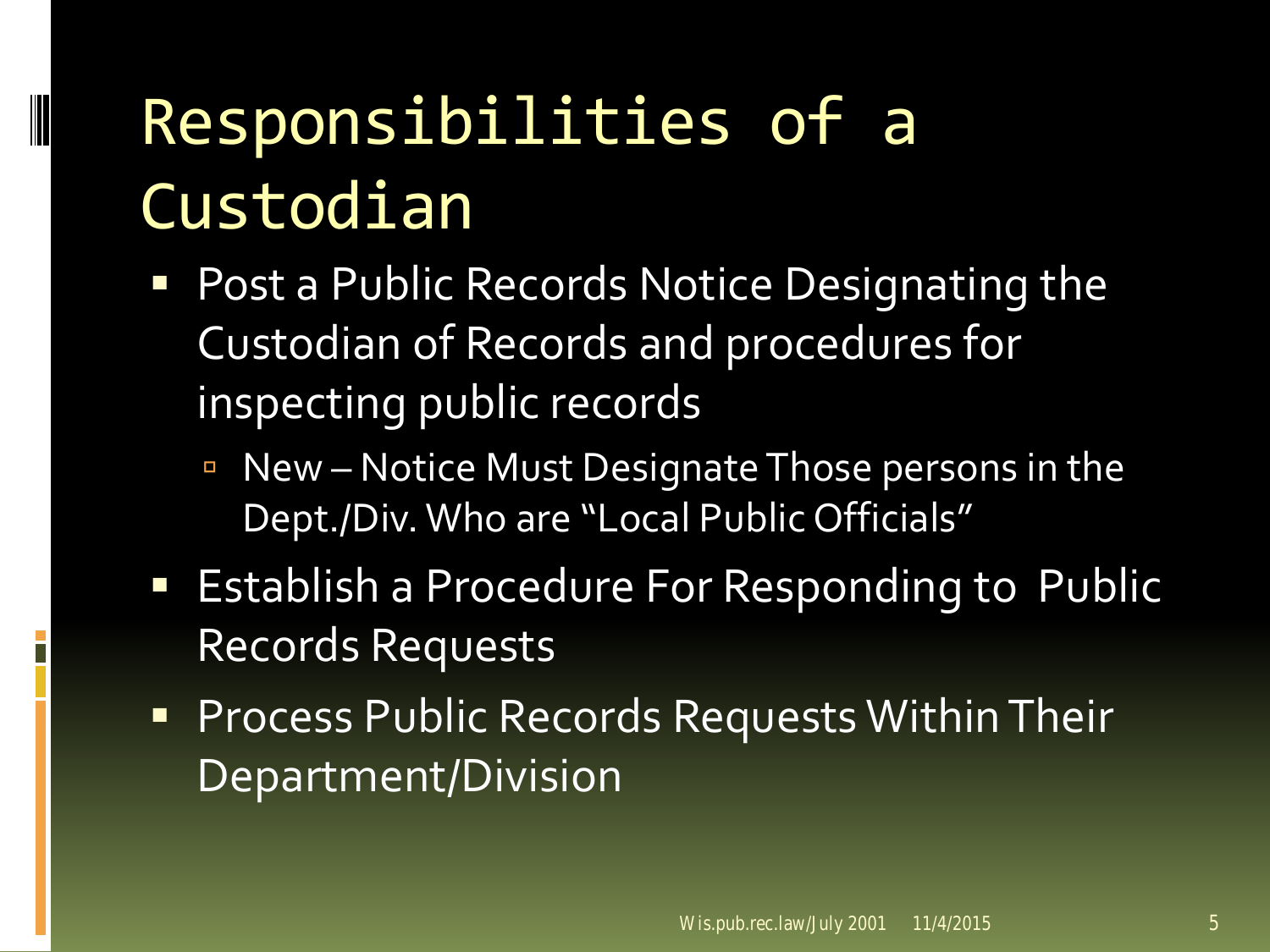# Responsibilities of a Custodian

- **Post a Public Records Notice Designating the** Custodian of Records and procedures for inspecting public records
	- New Notice Must Designate Those persons in the Dept./Div. Who are "Local Public Officials"
- **Establish a Procedure For Responding to Public** Records Requests
- **Process Public Records Requests Within Their** Department/Division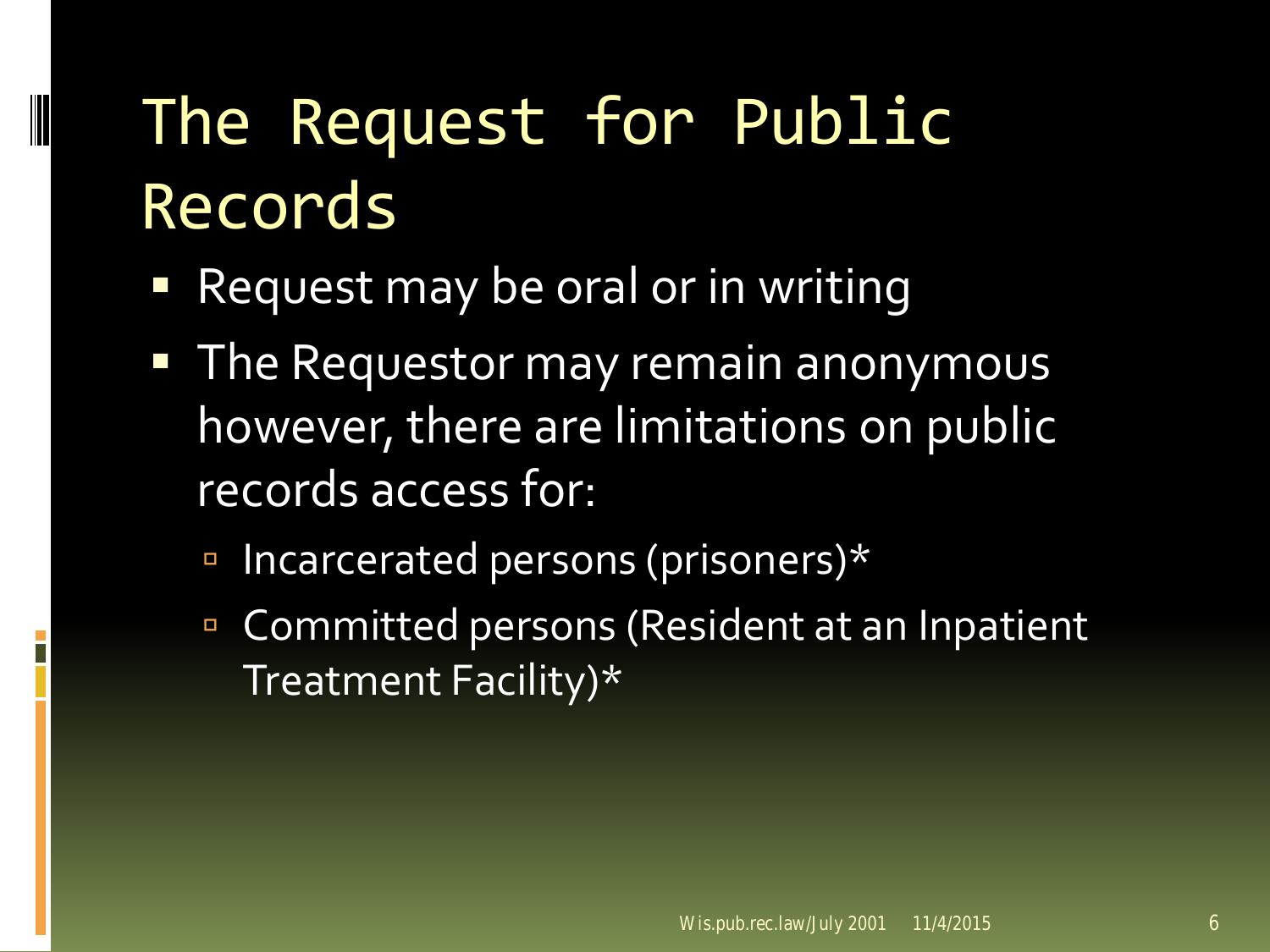# The Request for Public Records

- Request may be oral or in writing
- **The Requestor may remain anonymous** however, there are limitations on public records access for:
	- Incarcerated persons (prisoners)\*
	- **Committed persons (Resident at an Inpatient** Treatment Facility)\*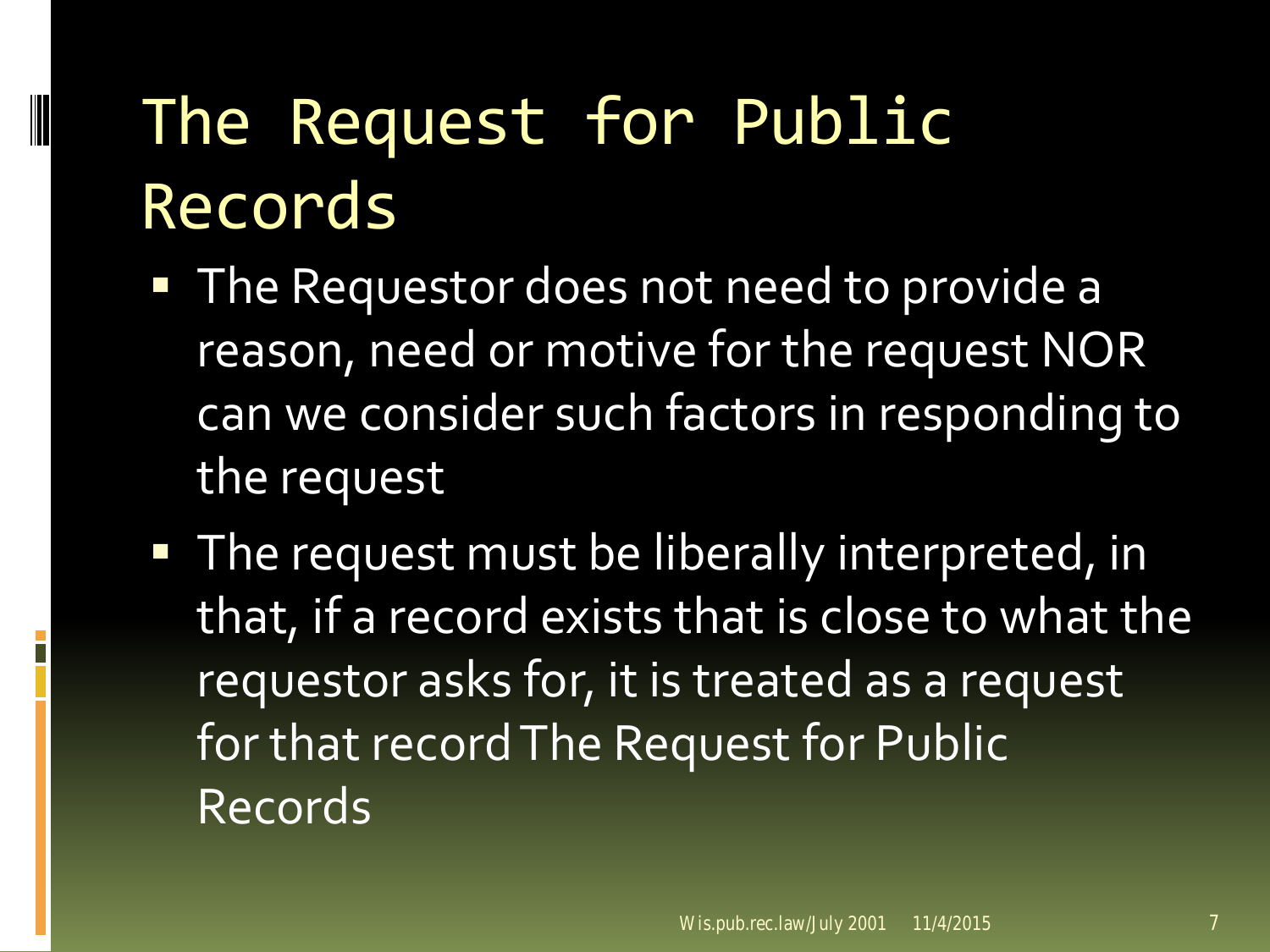# The Request for Public Records

- **The Requestor does not need to provide a** reason, need or motive for the request NOR can we consider such factors in responding to the request
- **The request must be liberally interpreted, in** that, if a record exists that is close to what the requestor asks for, it is treated as a request for that record The Request for Public Records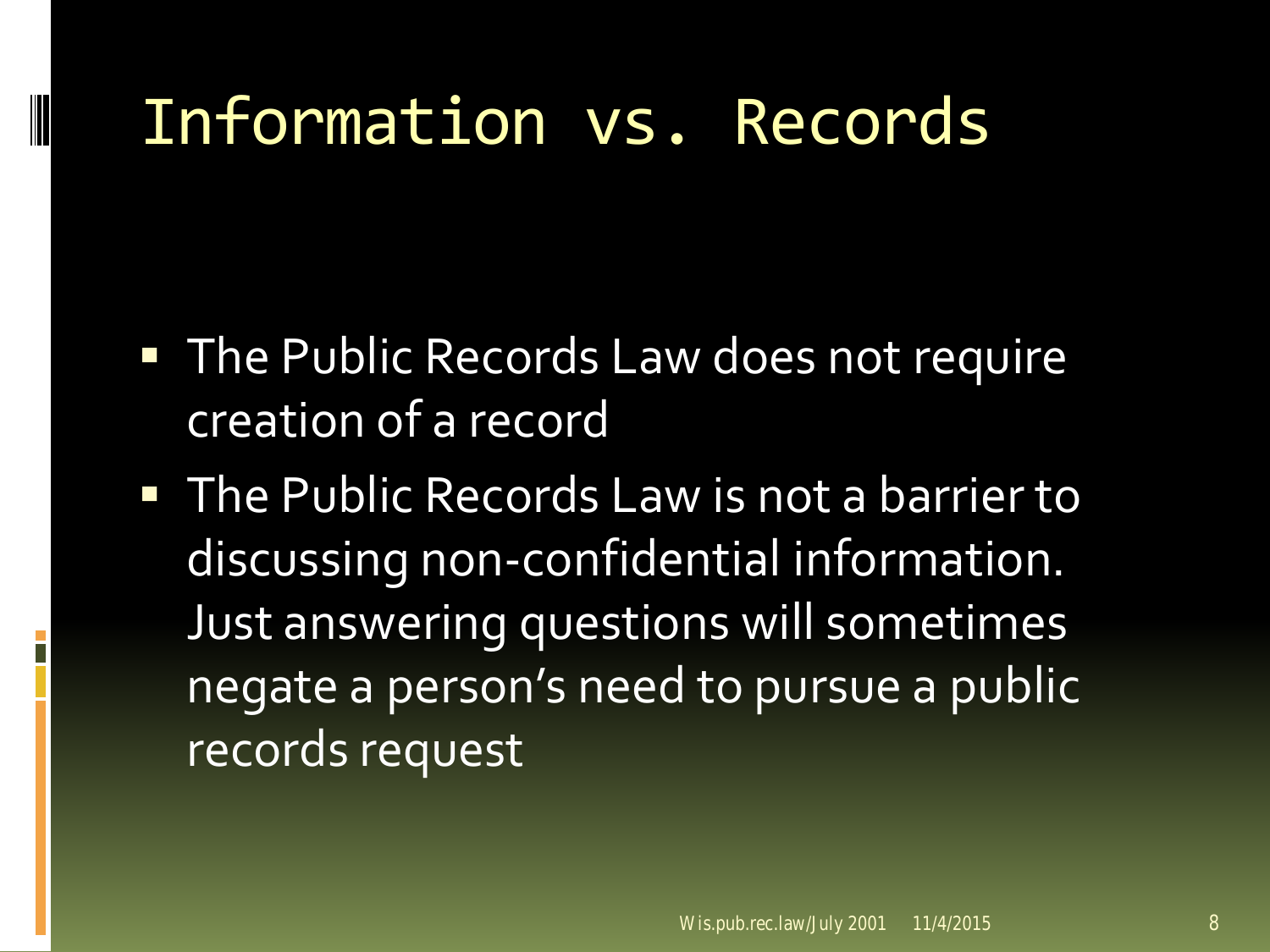#### Information vs. Records

- **The Public Records Law does not require** creation of a record
- **The Public Records Law is not a barrier to** discussing non-confidential information. Just answering questions will sometimes negate a person's need to pursue a public records request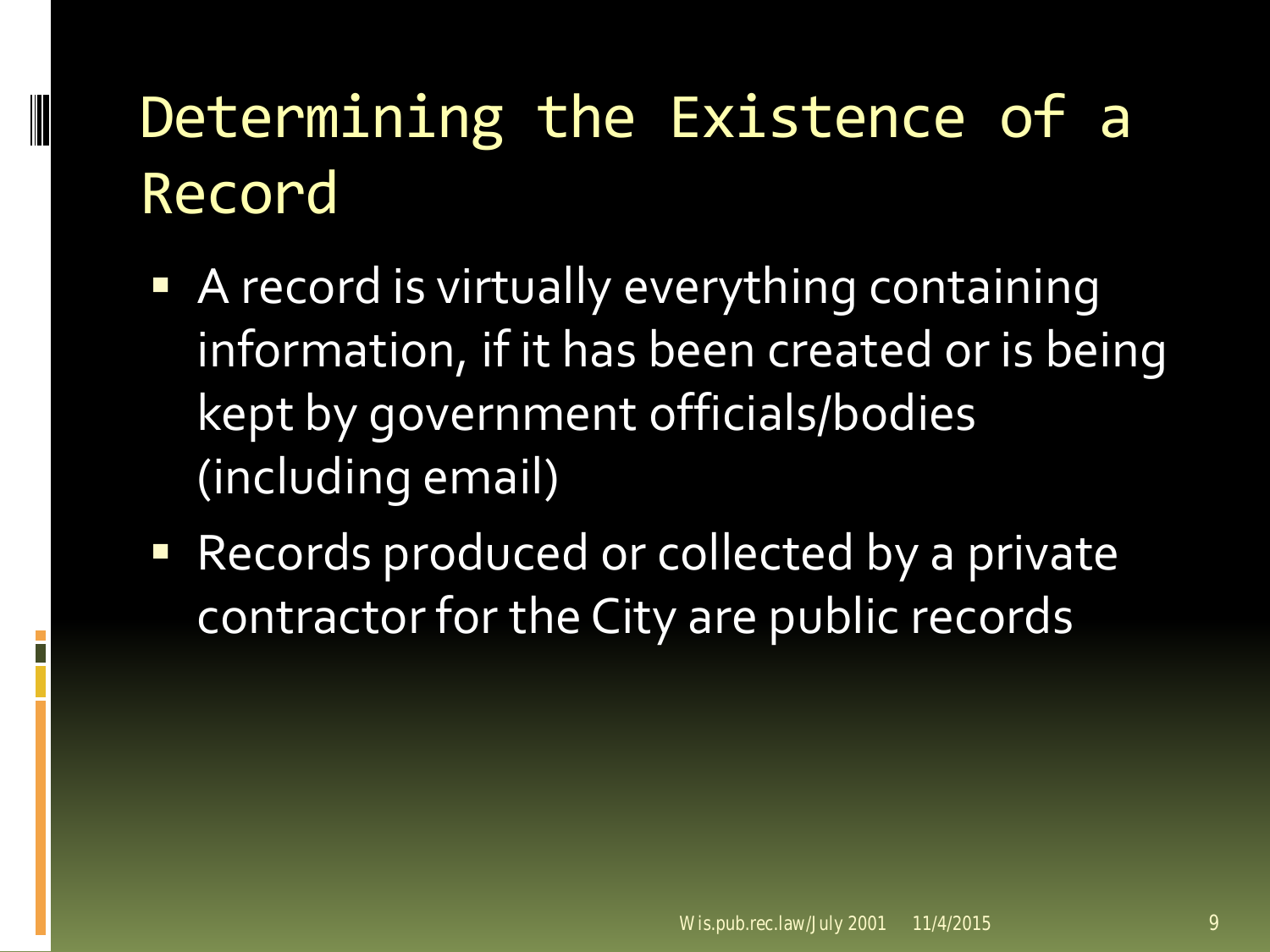### Determining the Existence of a Record

- **A** record is virtually everything containing information, if it has been created or is being kept by government officials/bodies (including email)
- **Records produced or collected by a private** contractor for the City are public records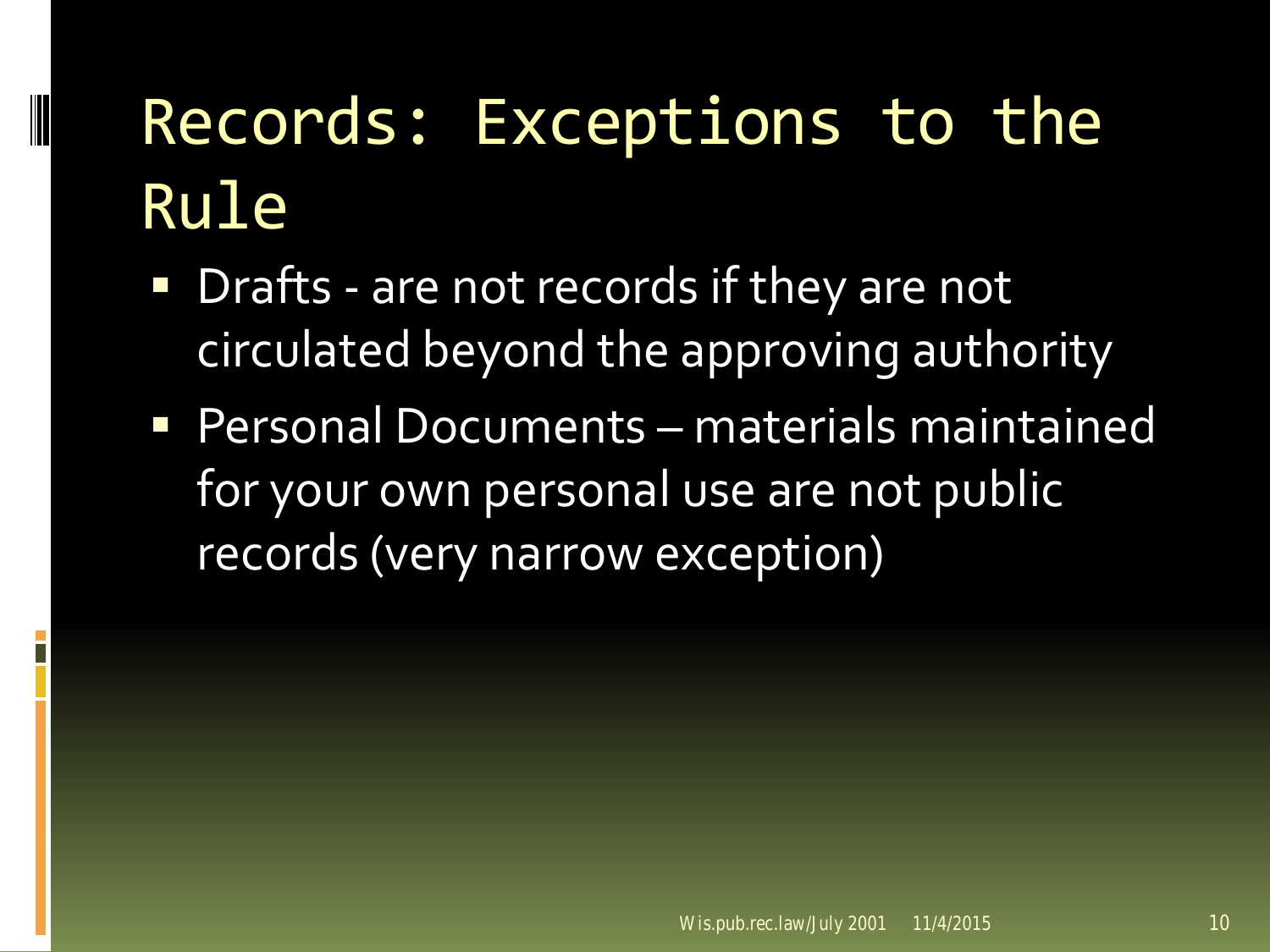- **Drafts are not records if they are not** circulated beyond the approving authority
- Personal Documents materials maintained for your own personal use are not public records (very narrow exception)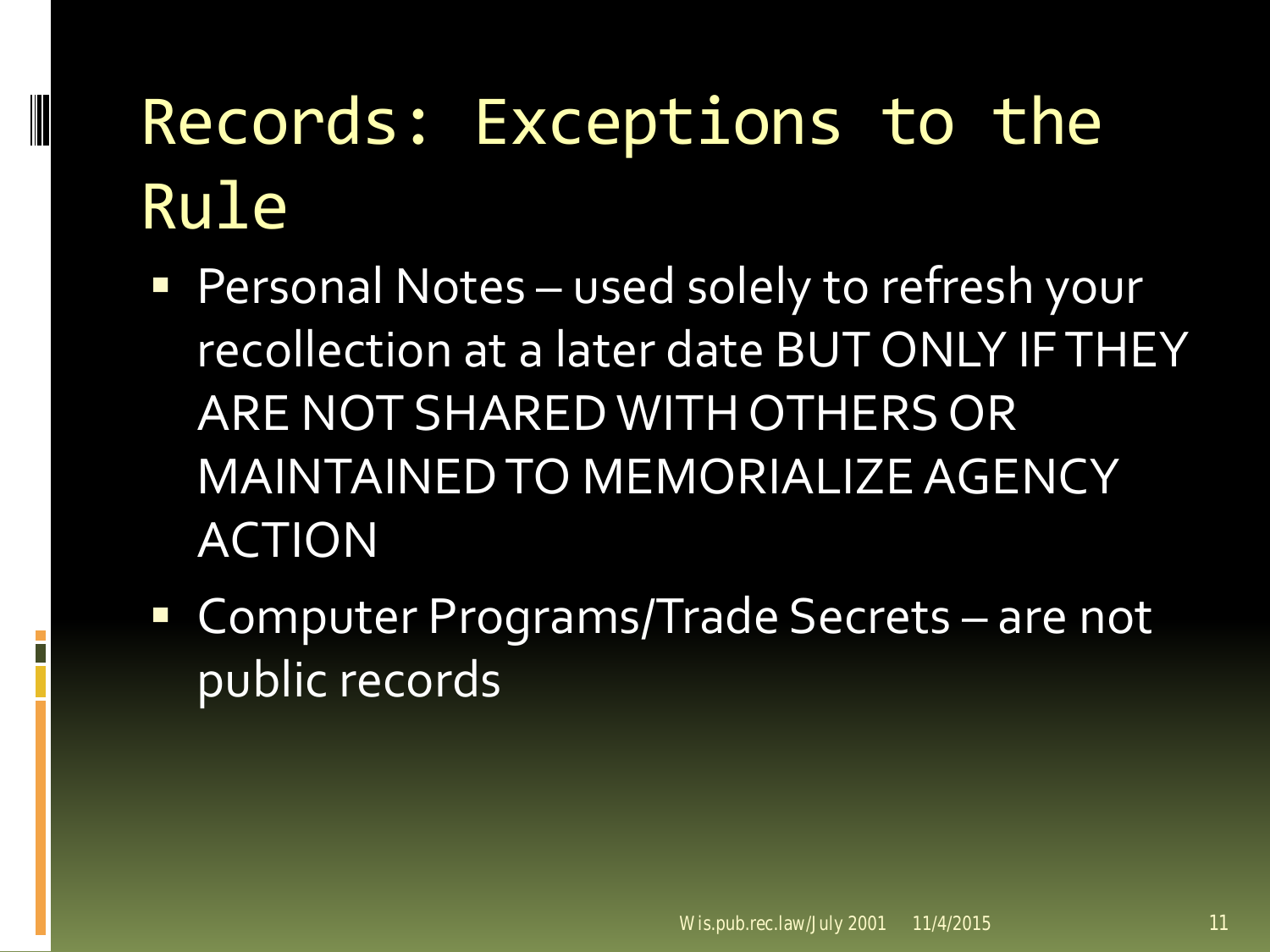- **Personal Notes used solely to refresh your** recollection at a later date BUT ONLY IF THEY ARE NOT SHARED WITH OTHERS OR MAINTAINED TO MEMORIALIZE AGENCY ACTION
- Computer Programs/Trade Secrets are not public records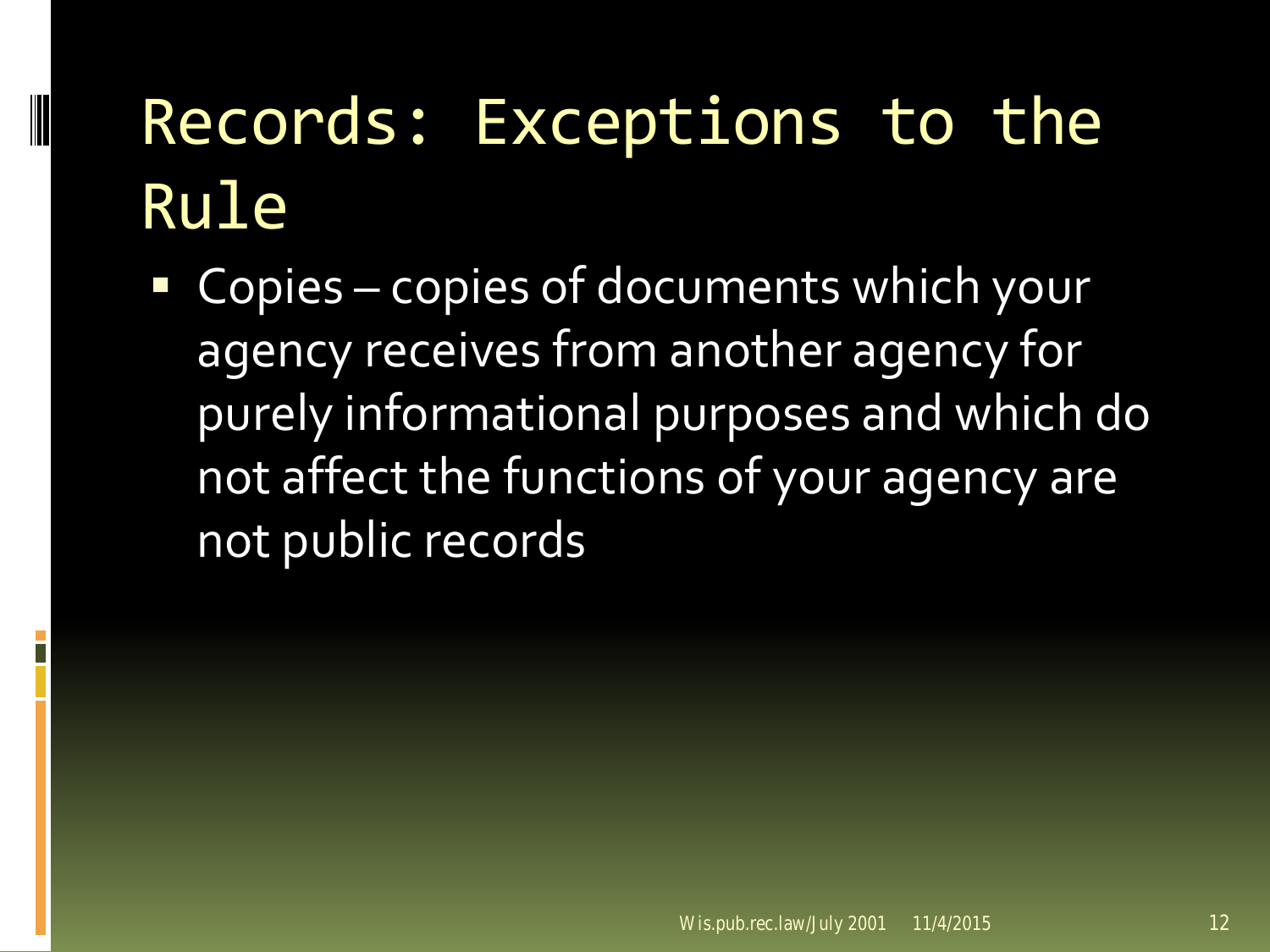■ Copies – copies of documents which your agency receives from another agency for purely informational purposes and which do not affect the functions of your agency are not public records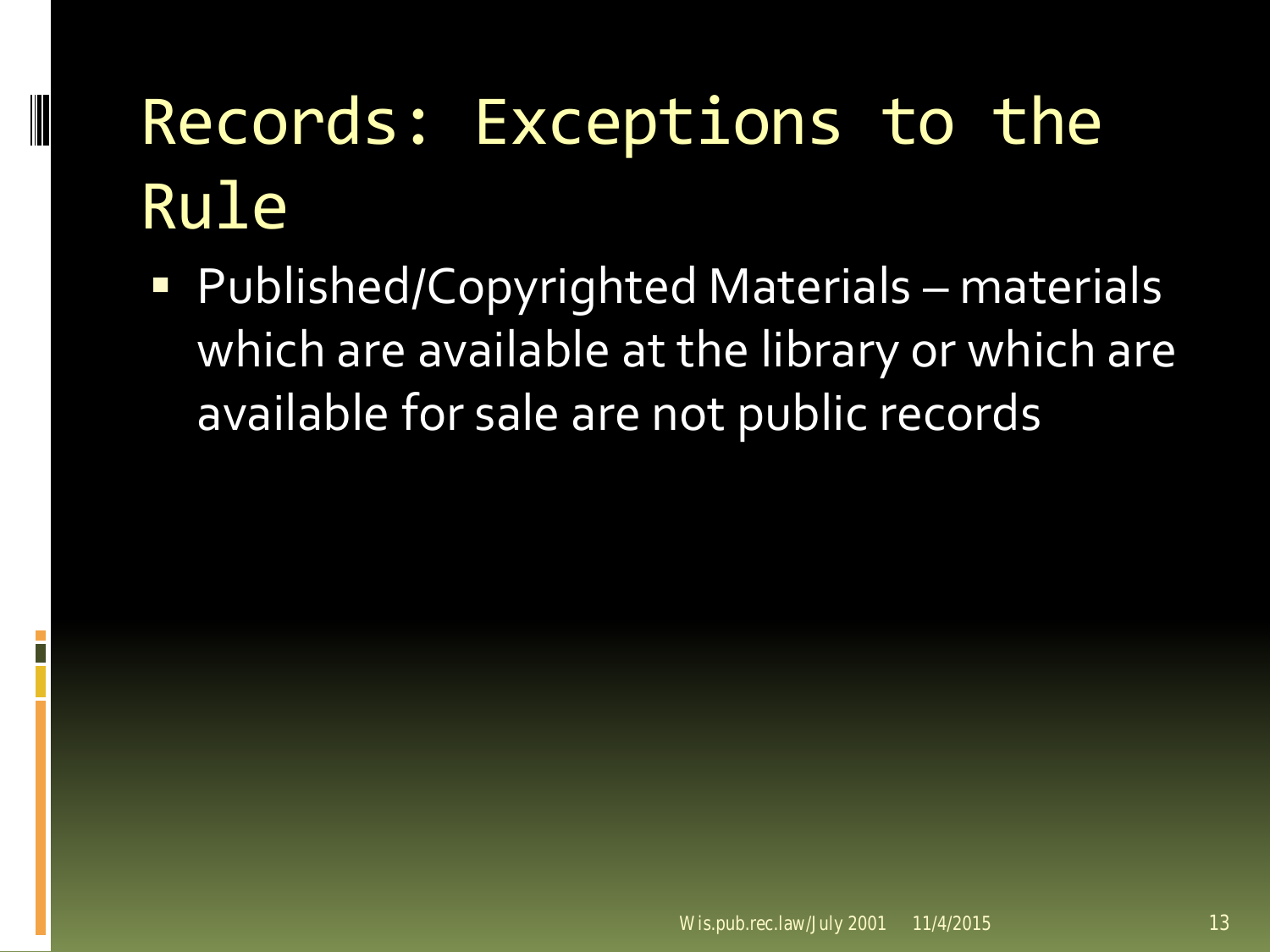Published/Copyrighted Materials – materials which are available at the library or which are available for sale are not public records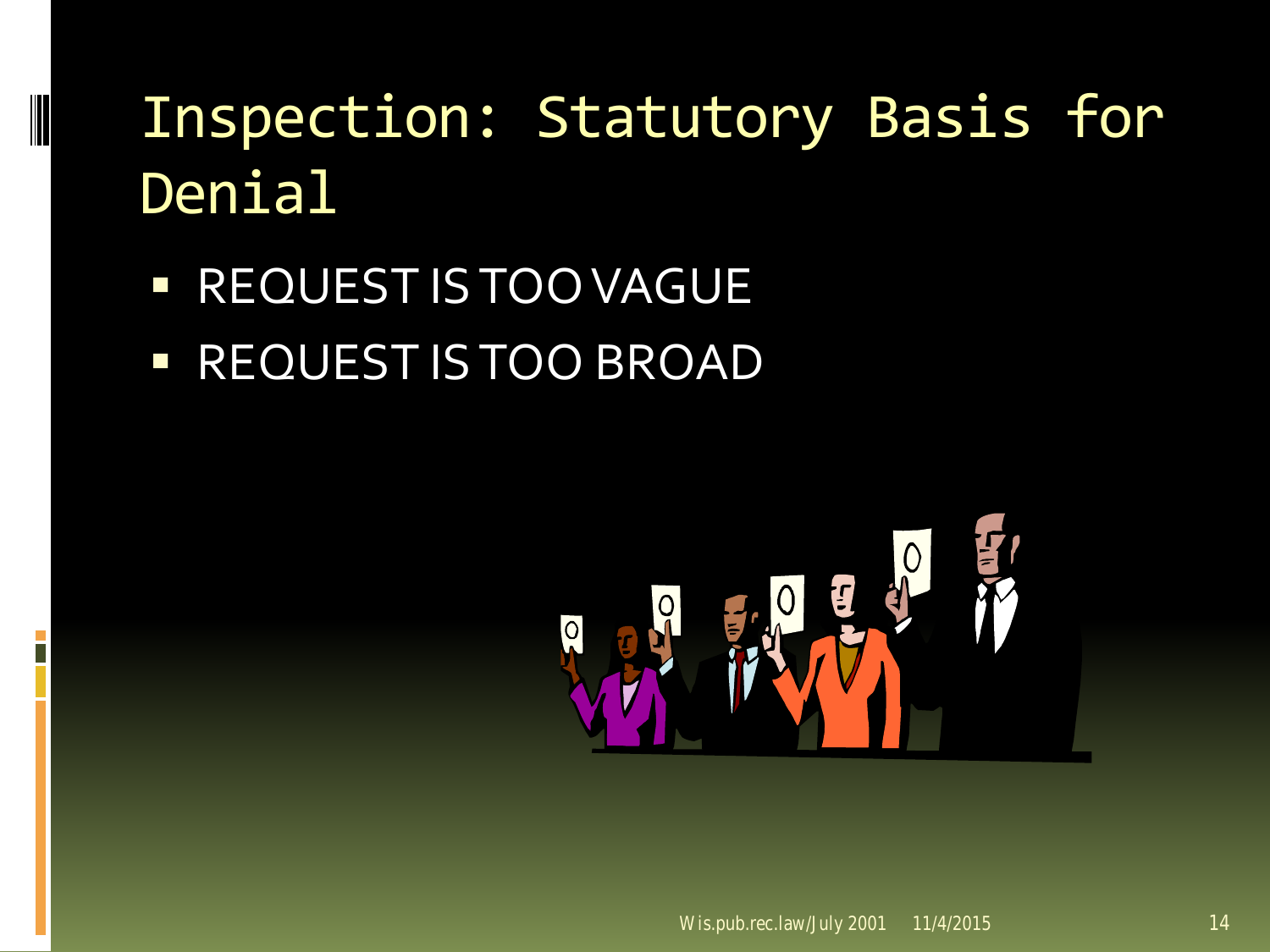**REQUEST IS TOO VAGUE REQUEST IS TOO BROAD** 

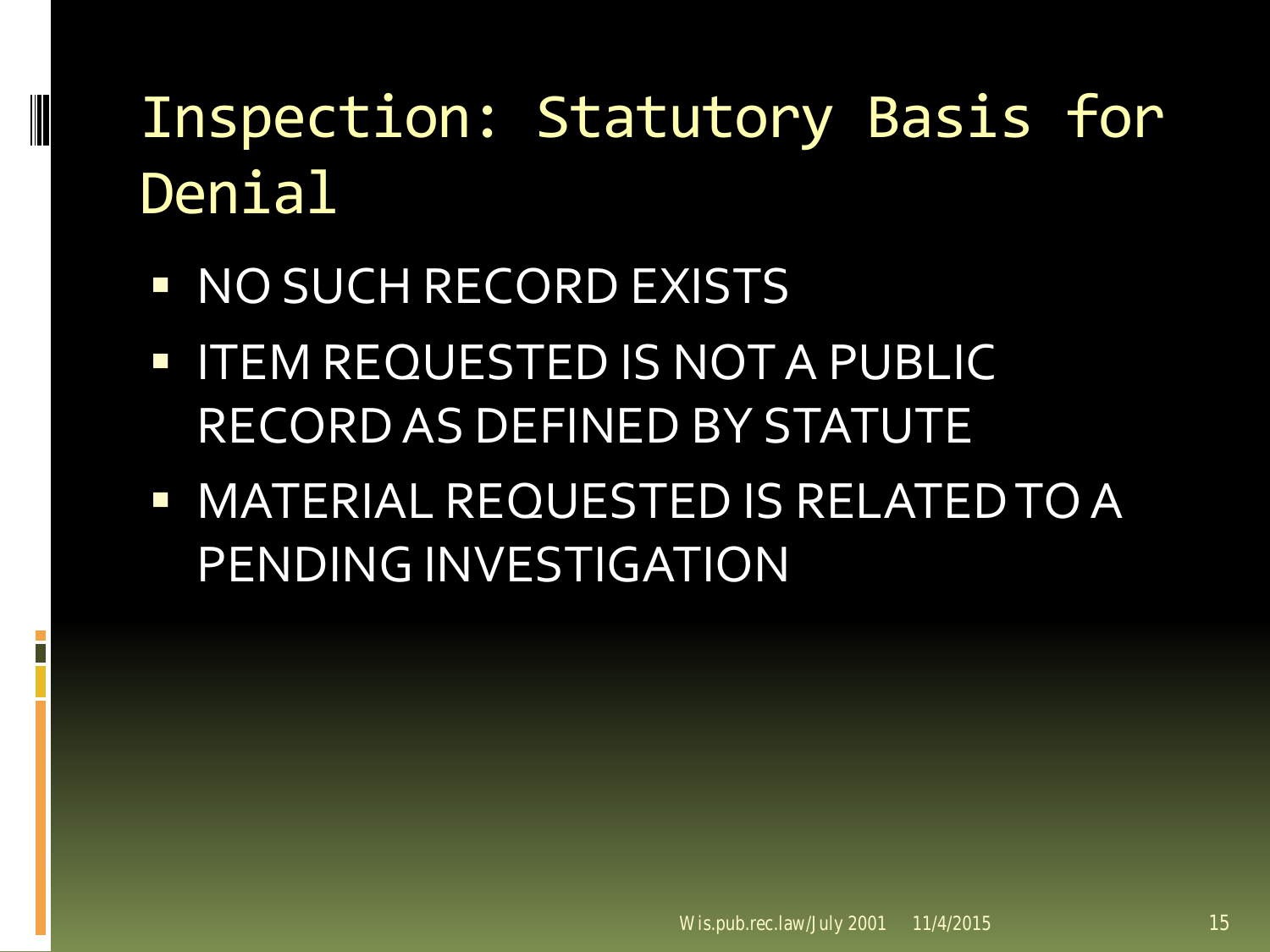**NO SUCH RECORD EXISTS** 

- **I ITEM REQUESTED IS NOT A PUBLIC** RECORD AS DEFINED BY STATUTE
- **NATERIAL REQUESTED IS RELATED TO A** PENDING INVESTIGATION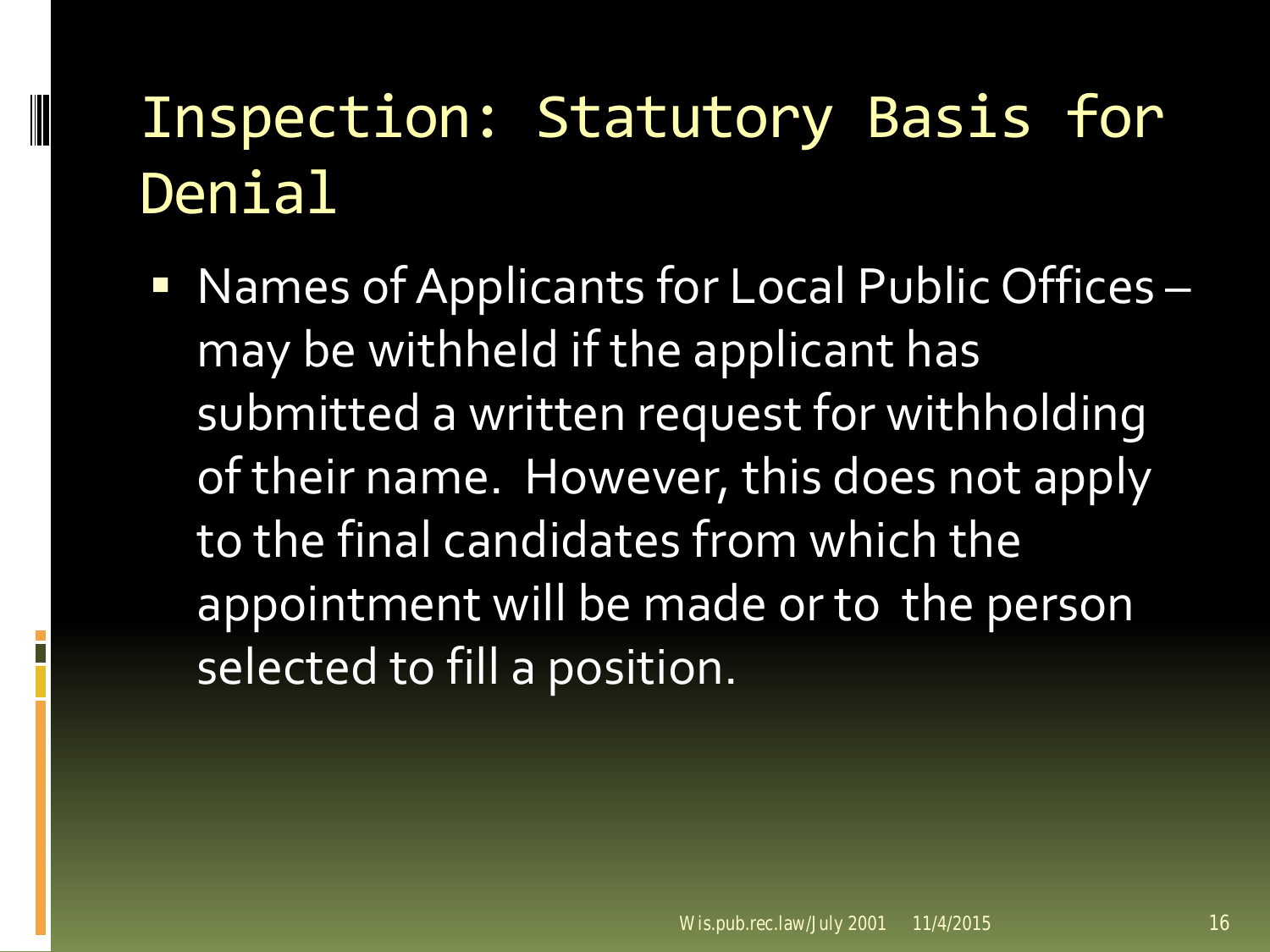■ Names of Applicants for Local Public Offices – may be withheld if the applicant has submitted a written request for withholding of their name. However, this does not apply to the final candidates from which the appointment will be made or to the person selected to fill a position.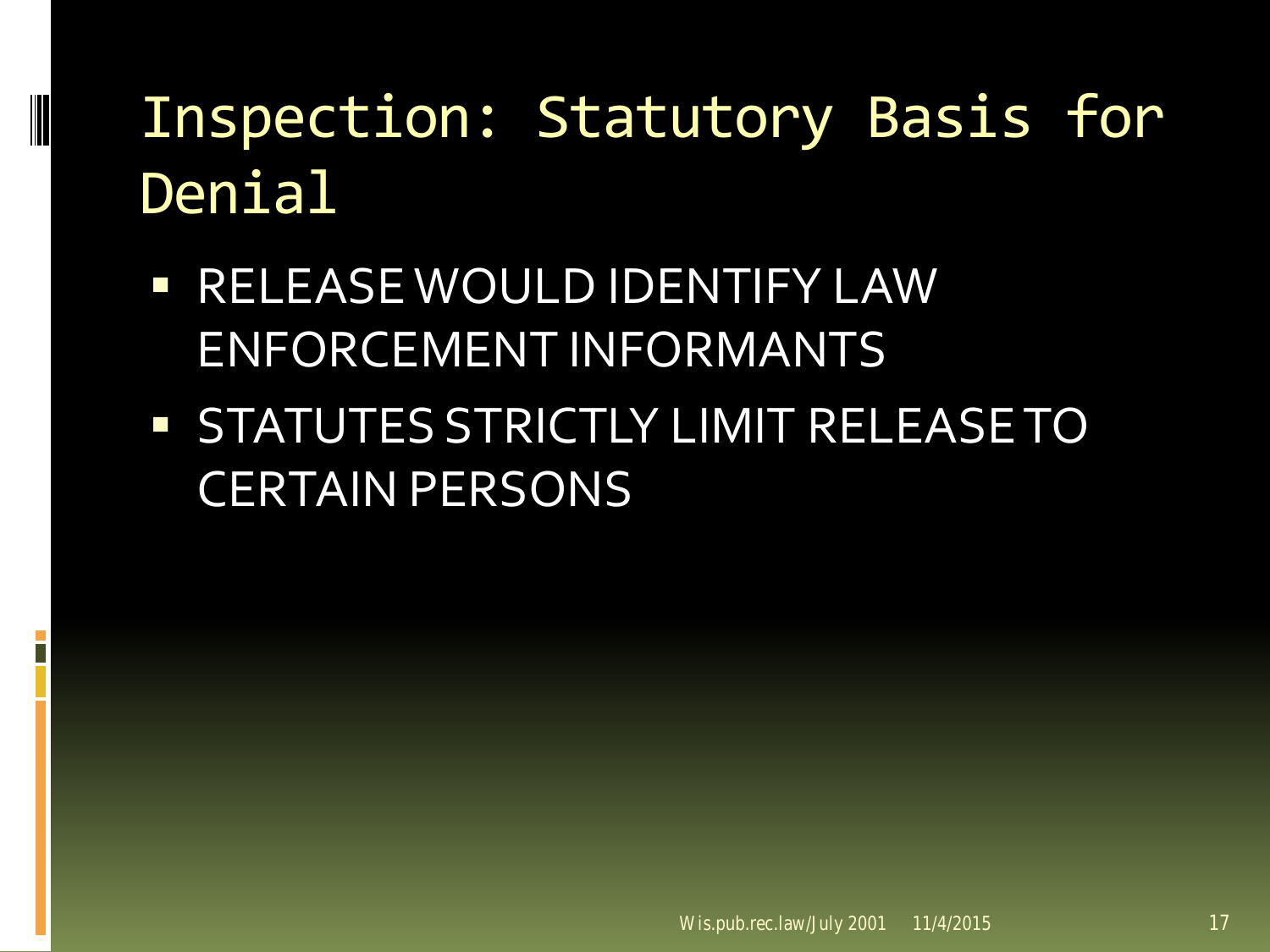**EXECUTED IDENTIFY LAW** ENFORCEMENT INFORMANTS

**STATUTES STRICTLY LIMIT RELEASE TO** CERTAIN PERSONS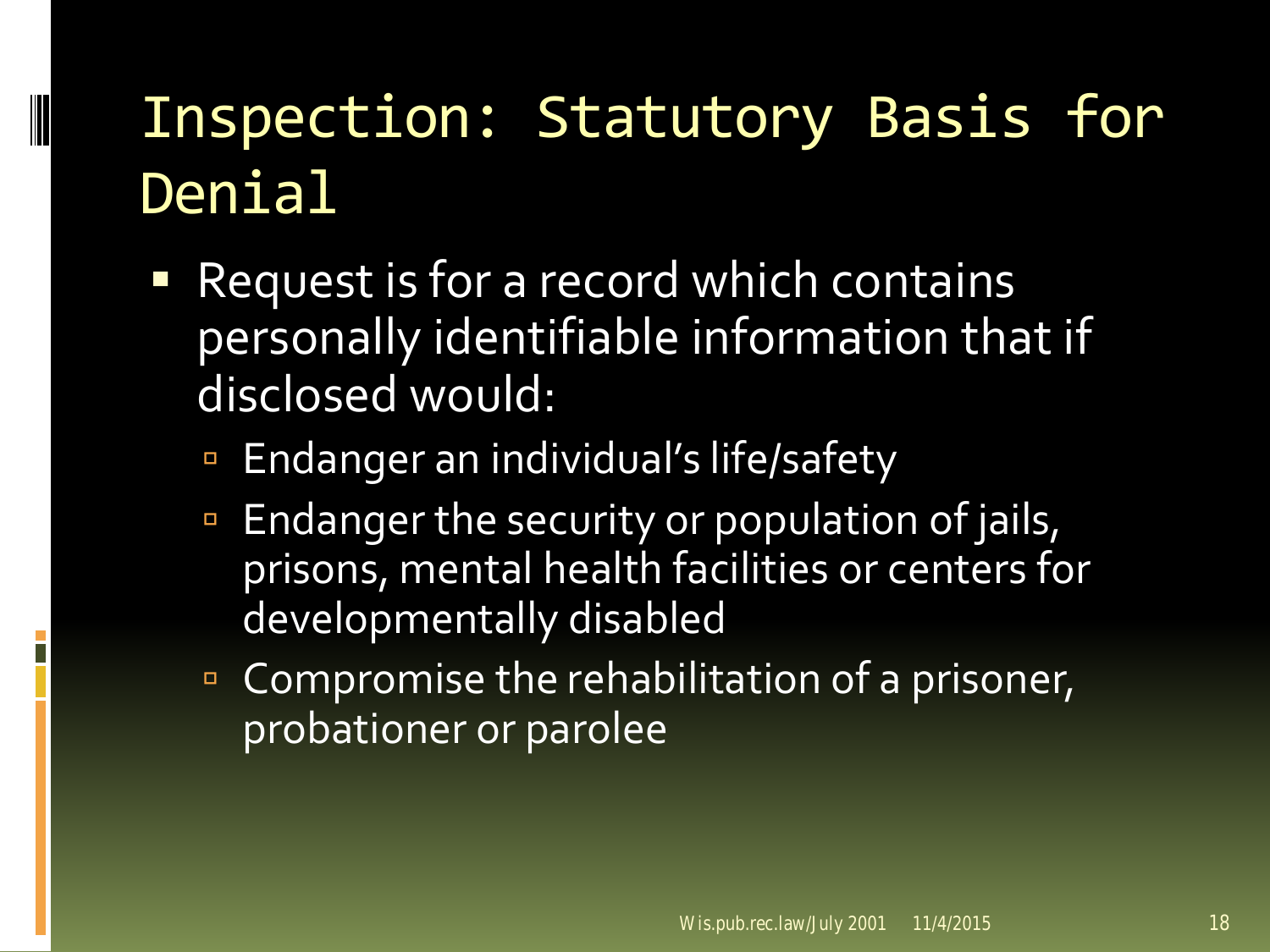- Request is for a record which contains personally identifiable information that if disclosed would:
	- Endanger an individual's life/safety

- Endanger the security or population of jails, prisons, mental health facilities or centers for developmentally disabled
- **Compromise the rehabilitation of a prisoner,** probationer or parolee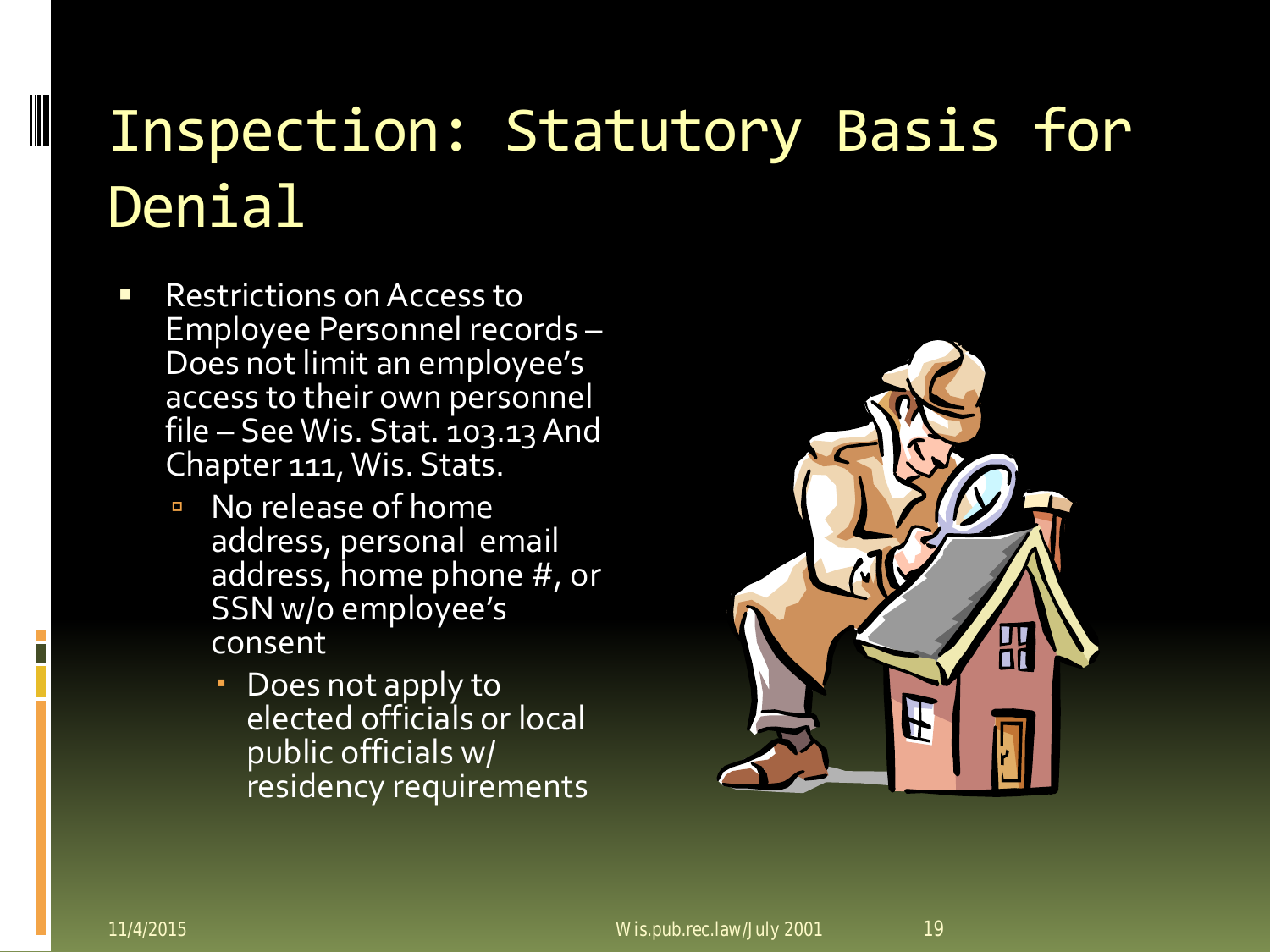- Restrictions on Access to<br>Employee Personnel records **Does not limit an employee's** access to their own personnel file – See Wis. Stat. 103.13 And Chapter 111, Wis. Stats.
	- No release of home address, personal email address, home phone #, or SSN w/o employee's consent
		- Does not apply to elected officials or local public officials w/ residency requirements

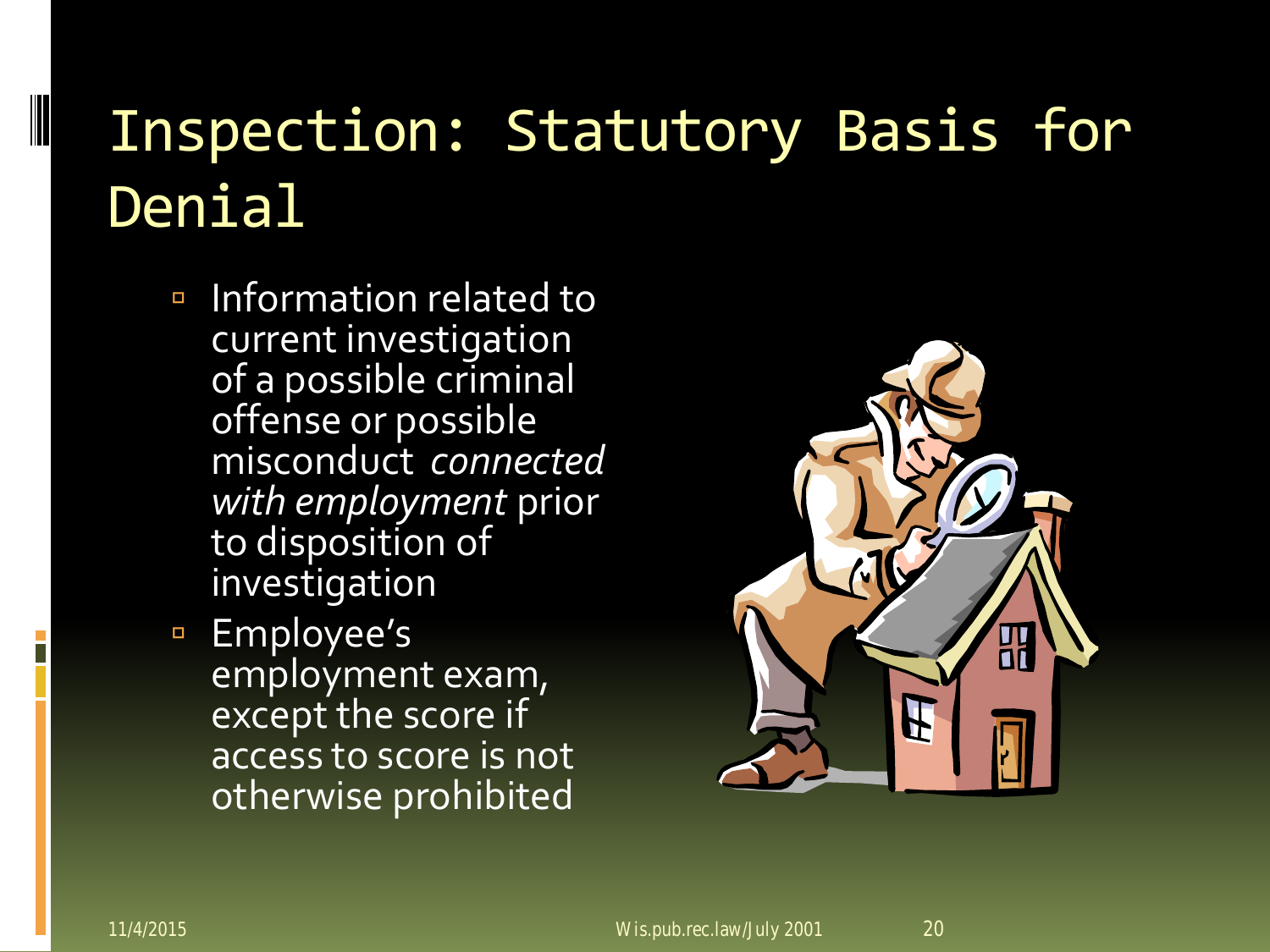- Information related to current investigation of a possible criminal offense or possible misconduct *connected with employment* prior to disposition of investigation
- □ Employee's employment exam, except the score if access to score is not otherwise prohibited

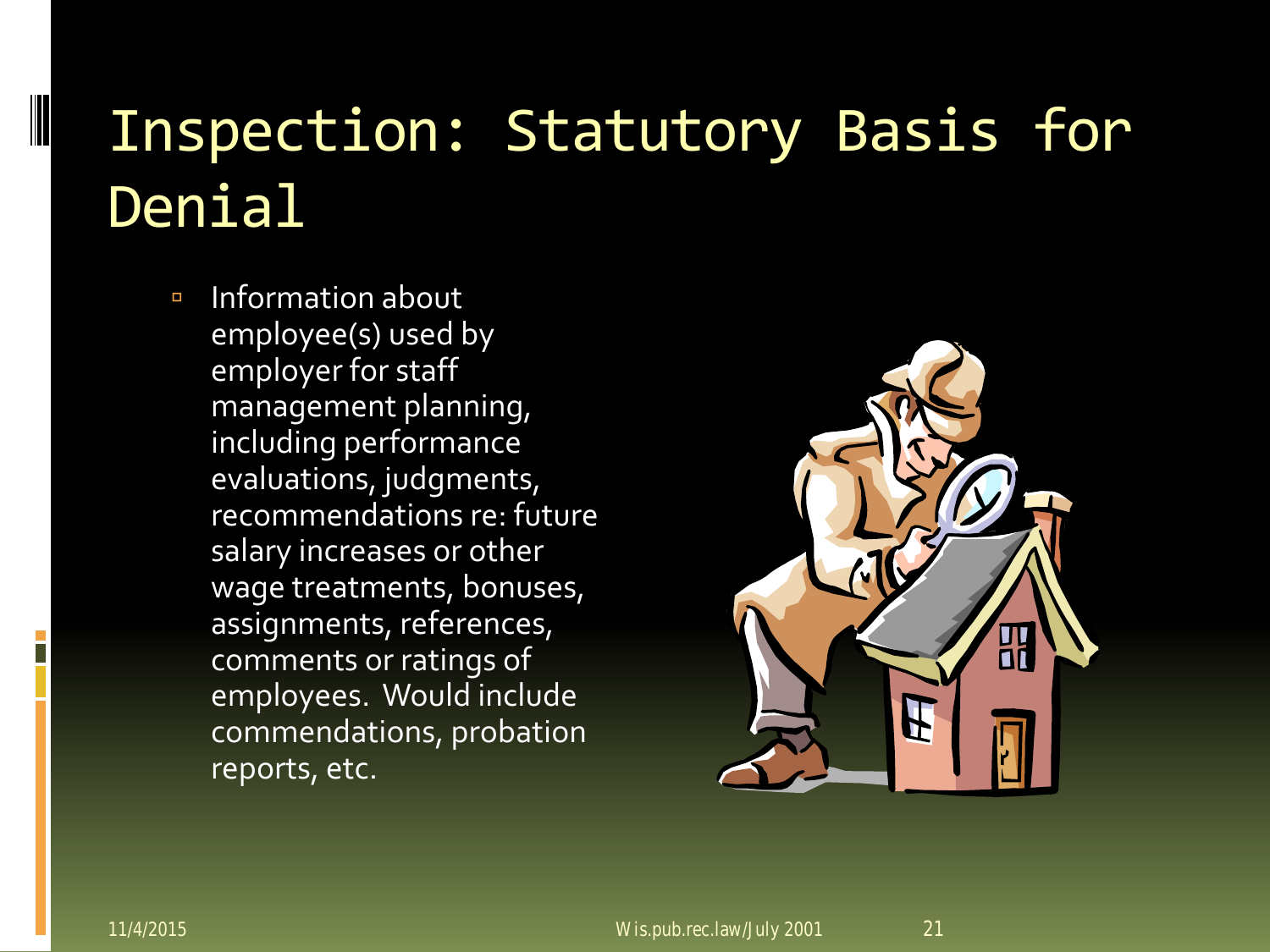Information about employee(s) used by employer for staff management planning, including performance evaluations, judgments, recommendations re: future salary increases or other wage treatments, bonuses, assignments, references, comments or ratings of employees. Would include commendations, probation reports, etc.

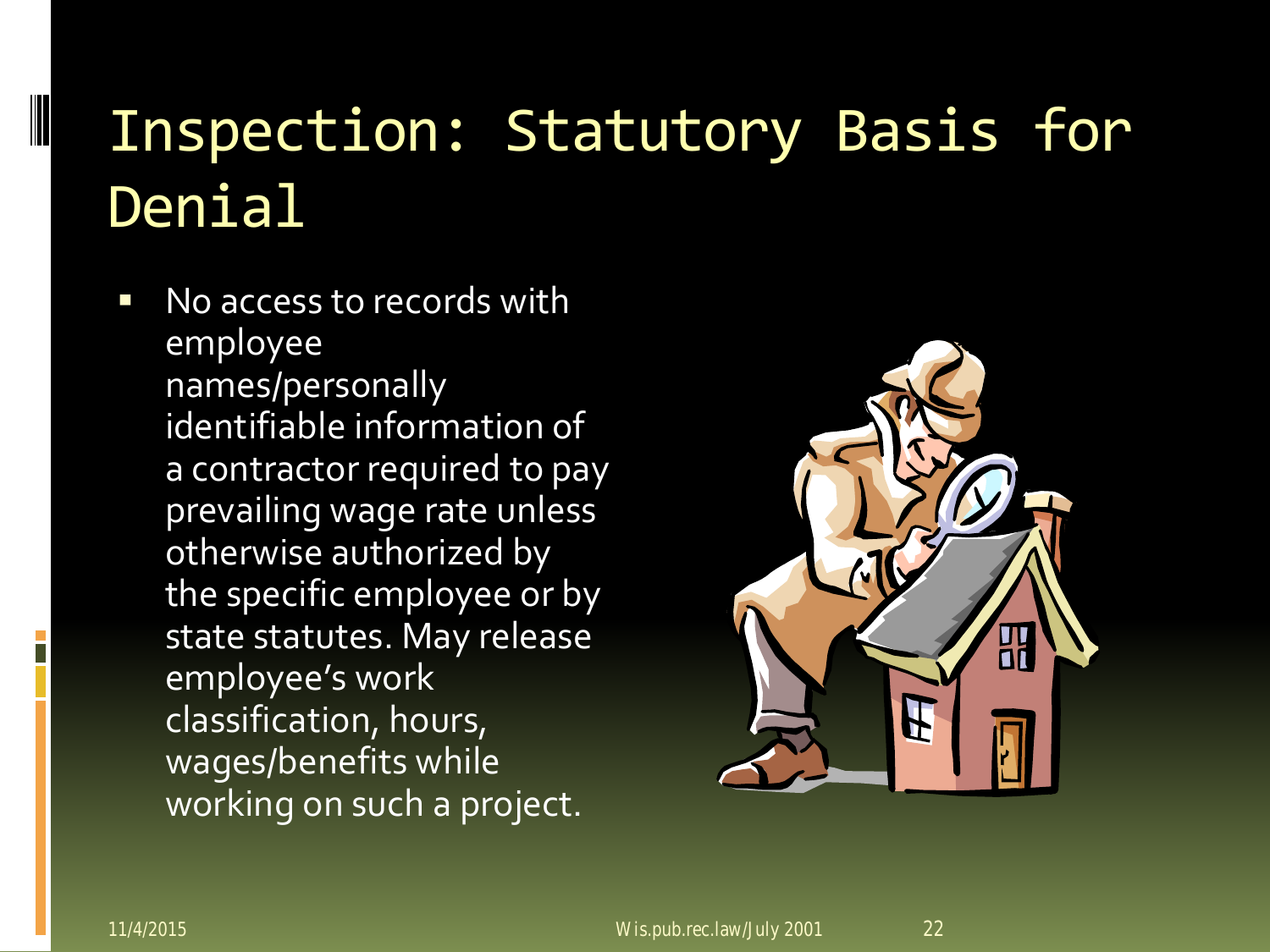No access to records with employee names/personally identifiable information of a contractor required to pay prevailing wage rate unless otherwise authorized by the specific employee or by state statutes. May release employee's work classification, hours, wages/benefits while working on such a project.

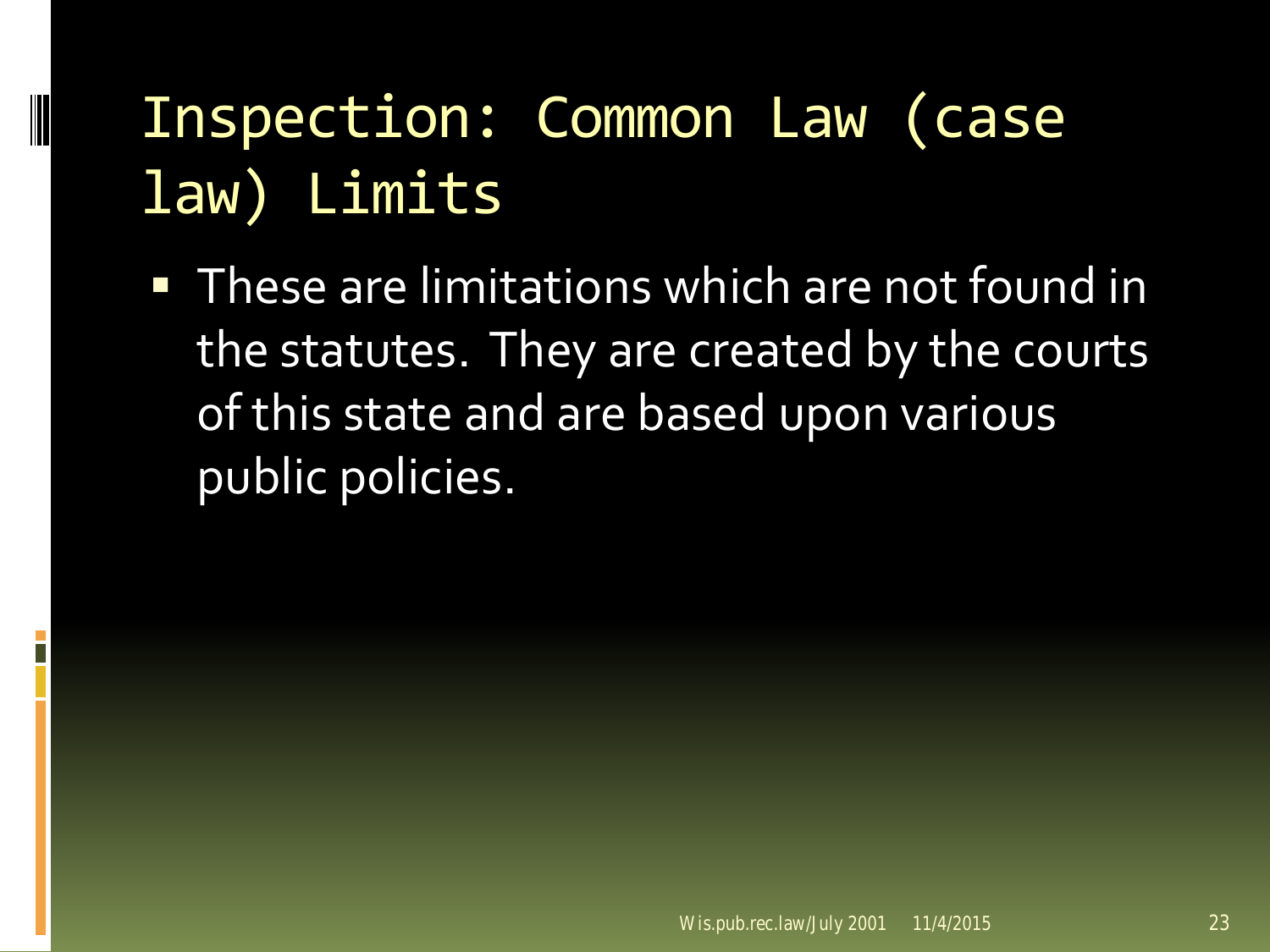#### Inspection: Common Law (case law) Limits

**These are limitations which are not found in** the statutes. They are created by the courts of this state and are based upon various public policies.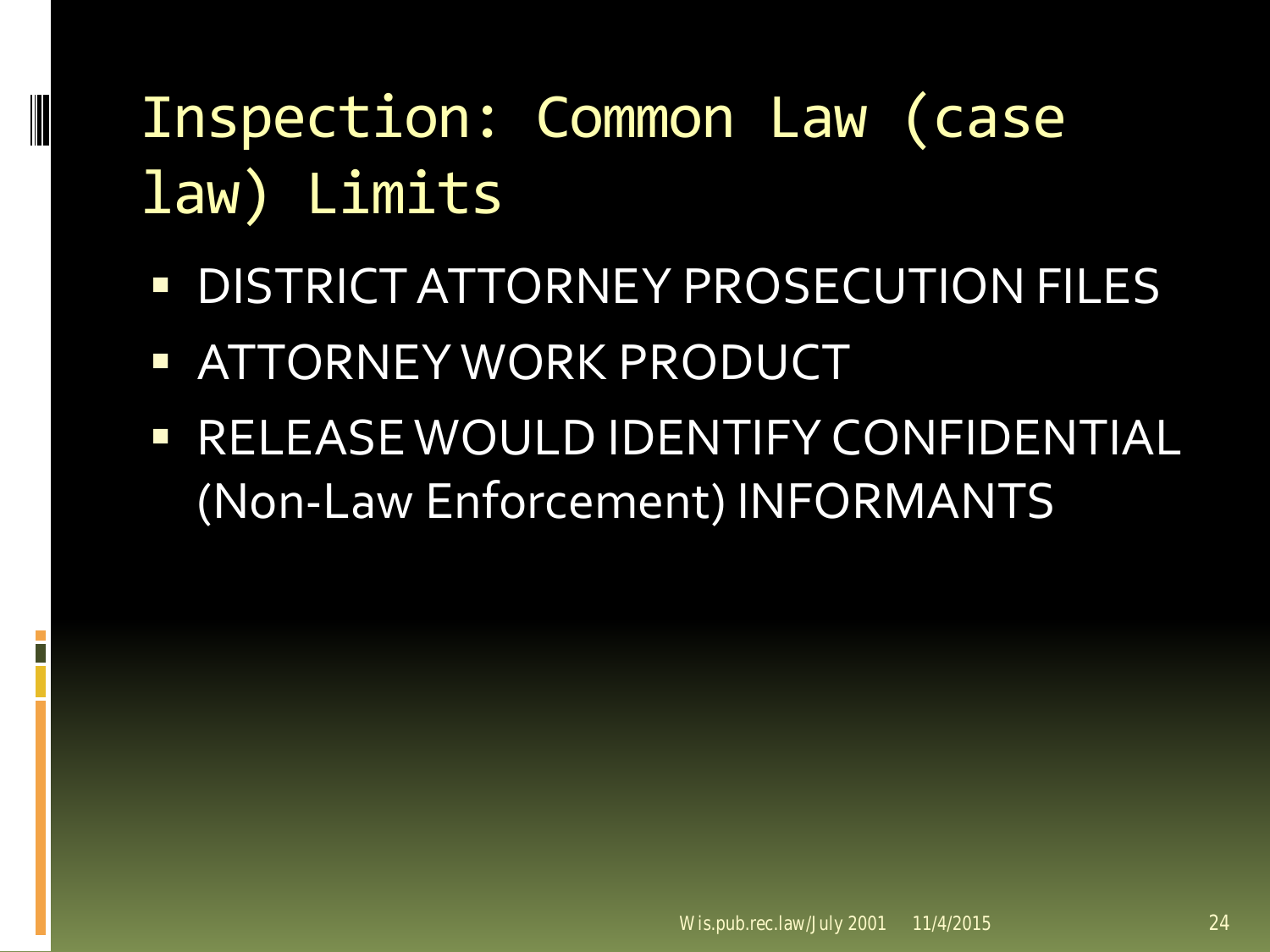### Inspection: Common Law (case law) Limits

- **DISTRICT ATTORNEY PROSECUTION FILES**
- **EXATTORNEY WORK PRODUCT**

**RELEASE WOULD IDENTIFY CONFIDENTIAL** (Non-Law Enforcement) INFORMANTS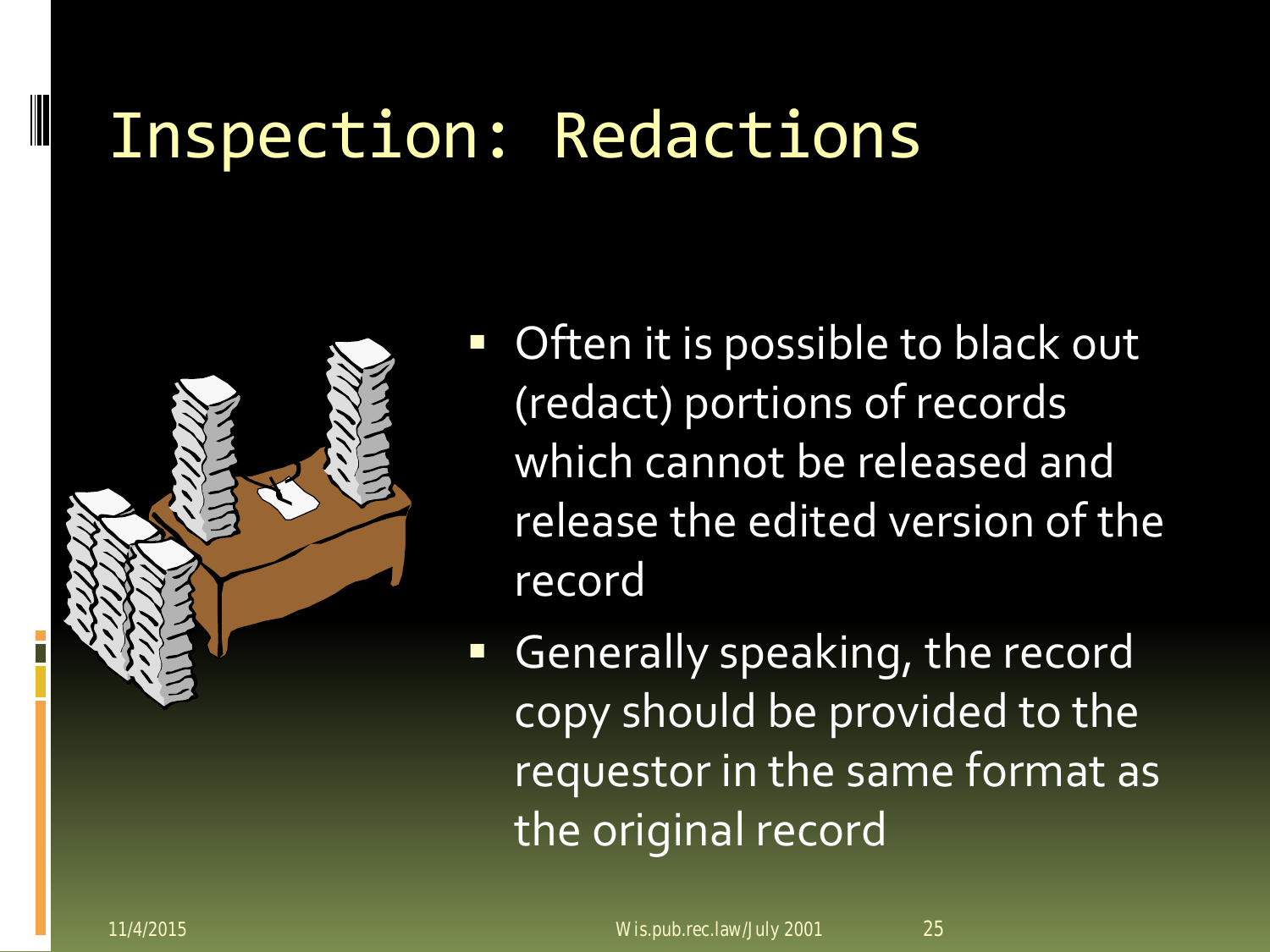#### Inspection: Redactions



- Often it is possible to black out (redact) portions of records which cannot be released and release the edited version of the record
- **Generally speaking, the record** copy should be provided to the requestor in the same format as the original record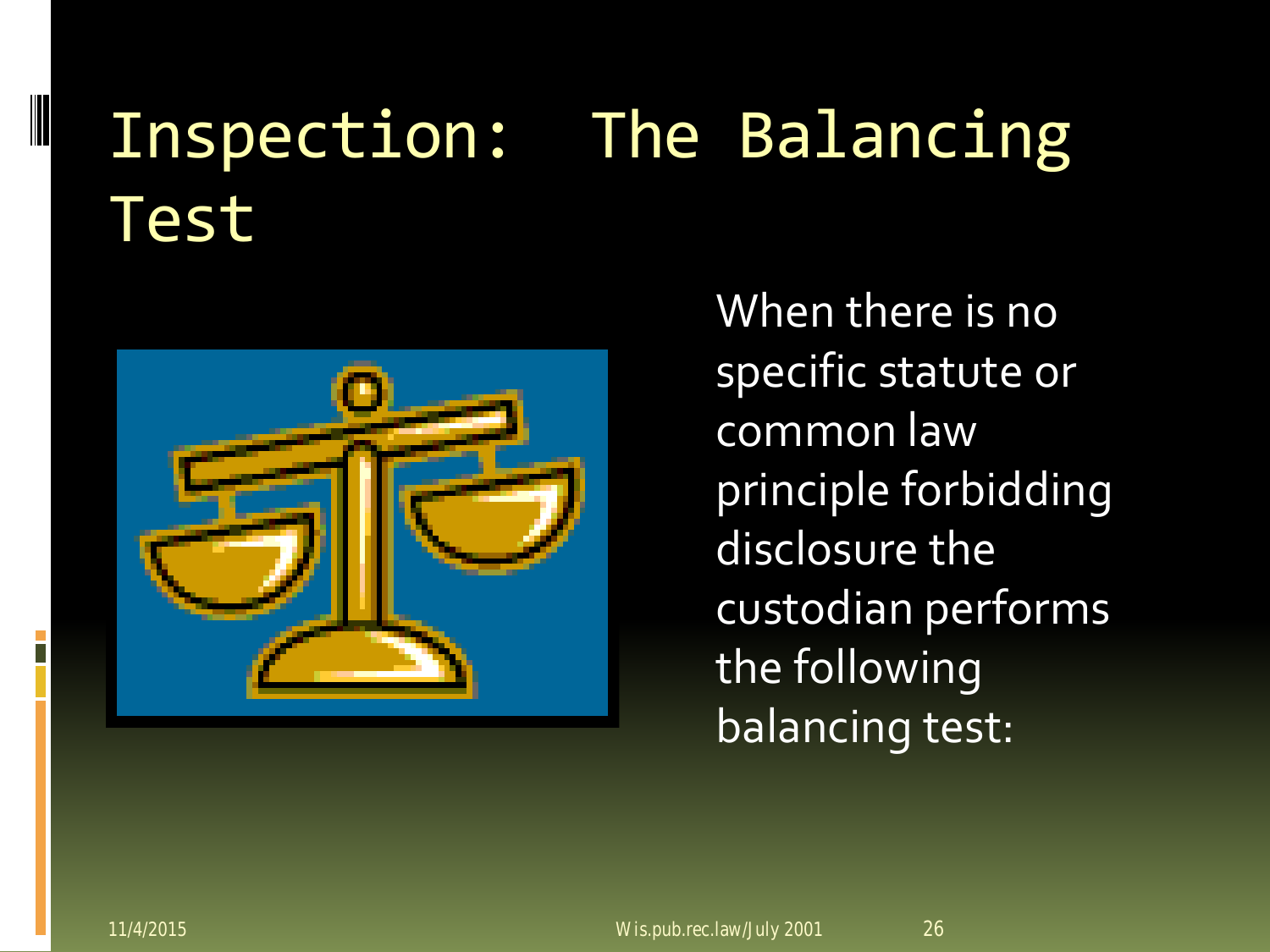### Inspection: The Balancing Test



When there is no specific statute or common law principle forbidding disclosure the custodian performs the following balancing test: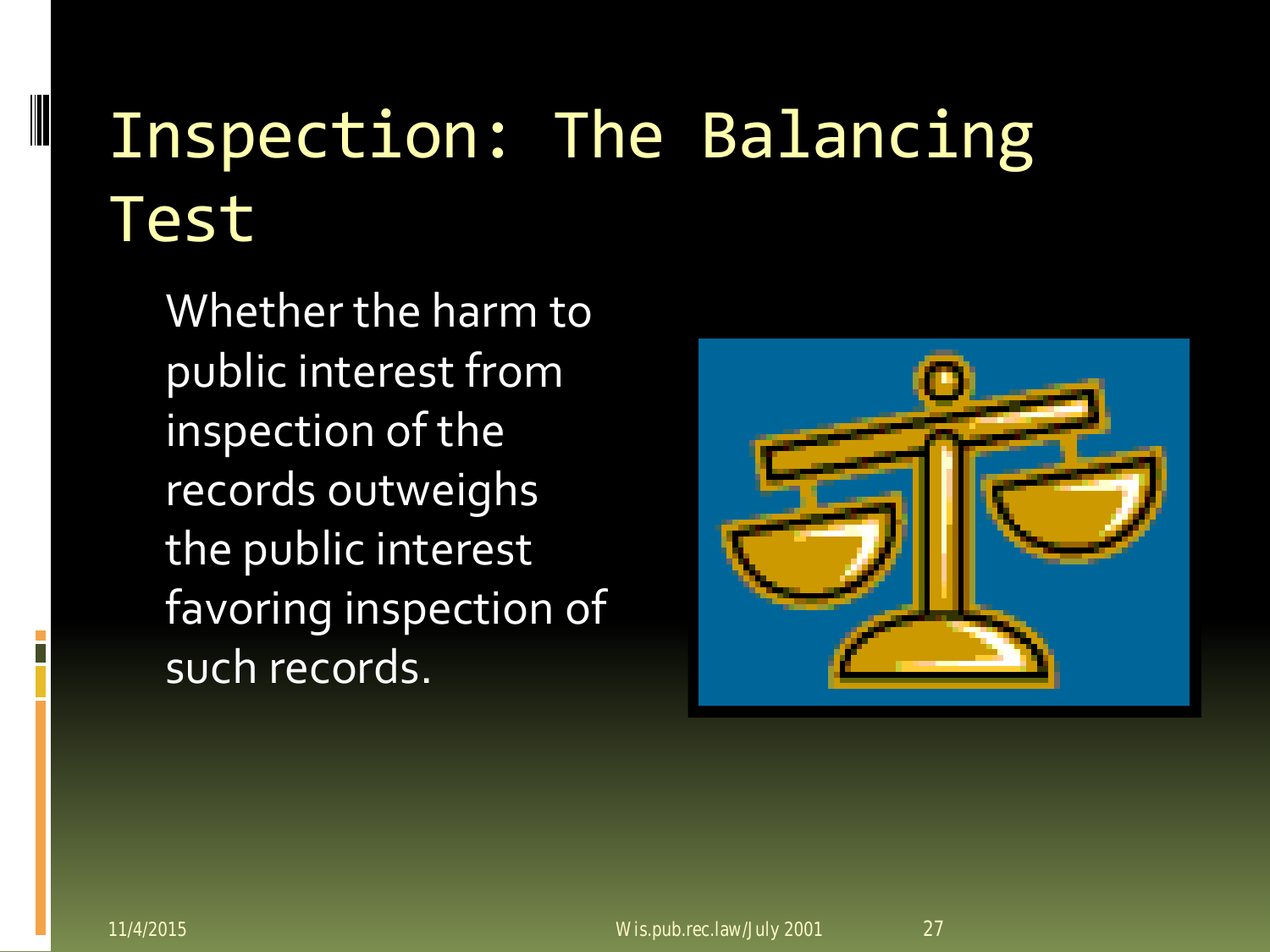# Inspection: The Balancing Test

Whether the harm to public interest from inspection of the records outweighs the public interest favoring inspection of such records.

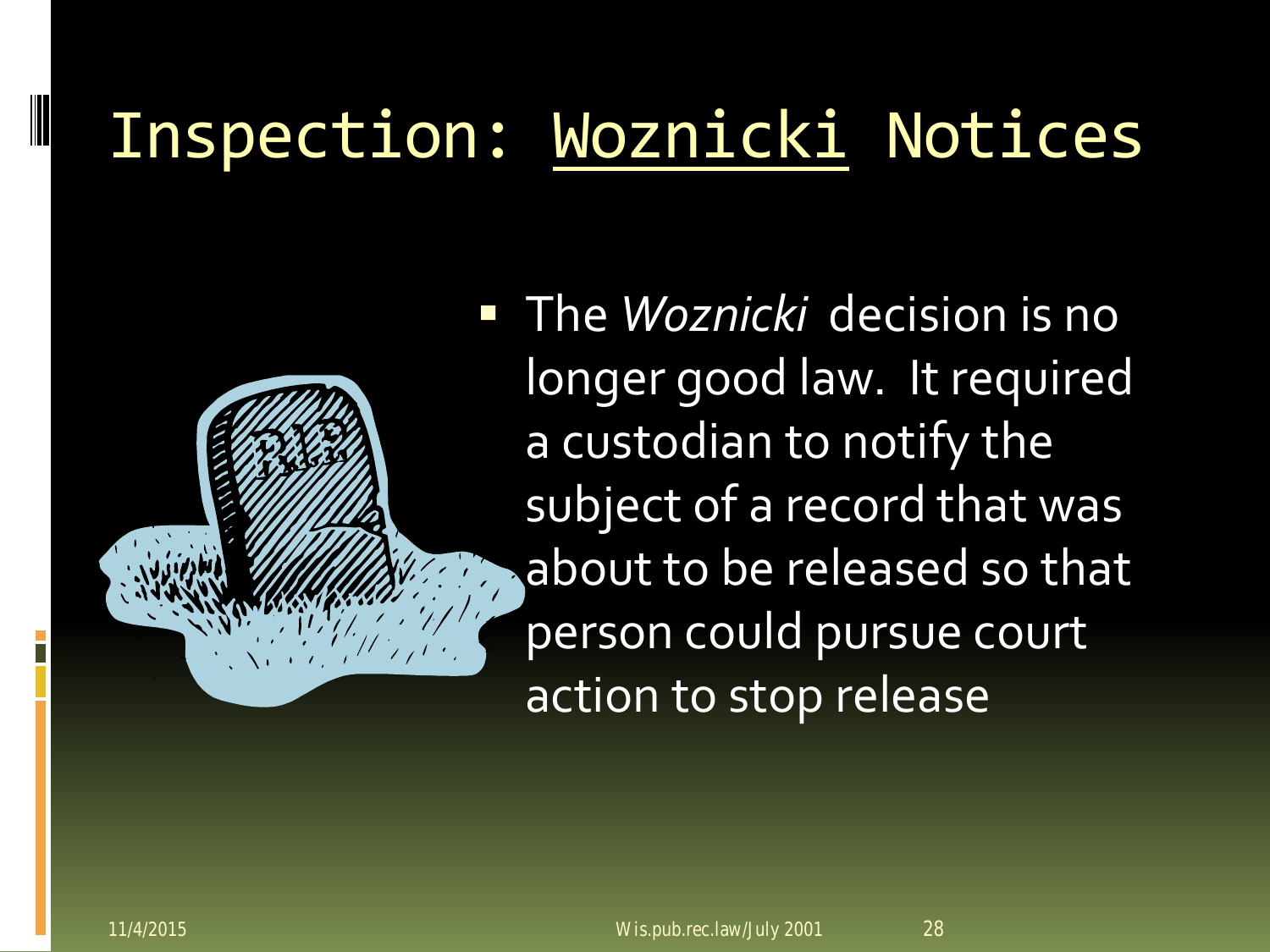### Inspection: Woznicki Notices

 The *Woznicki* decision is no longer good law. It required a custodian to notify the subject of a record that was about to be released so that person could pursue court action to stop release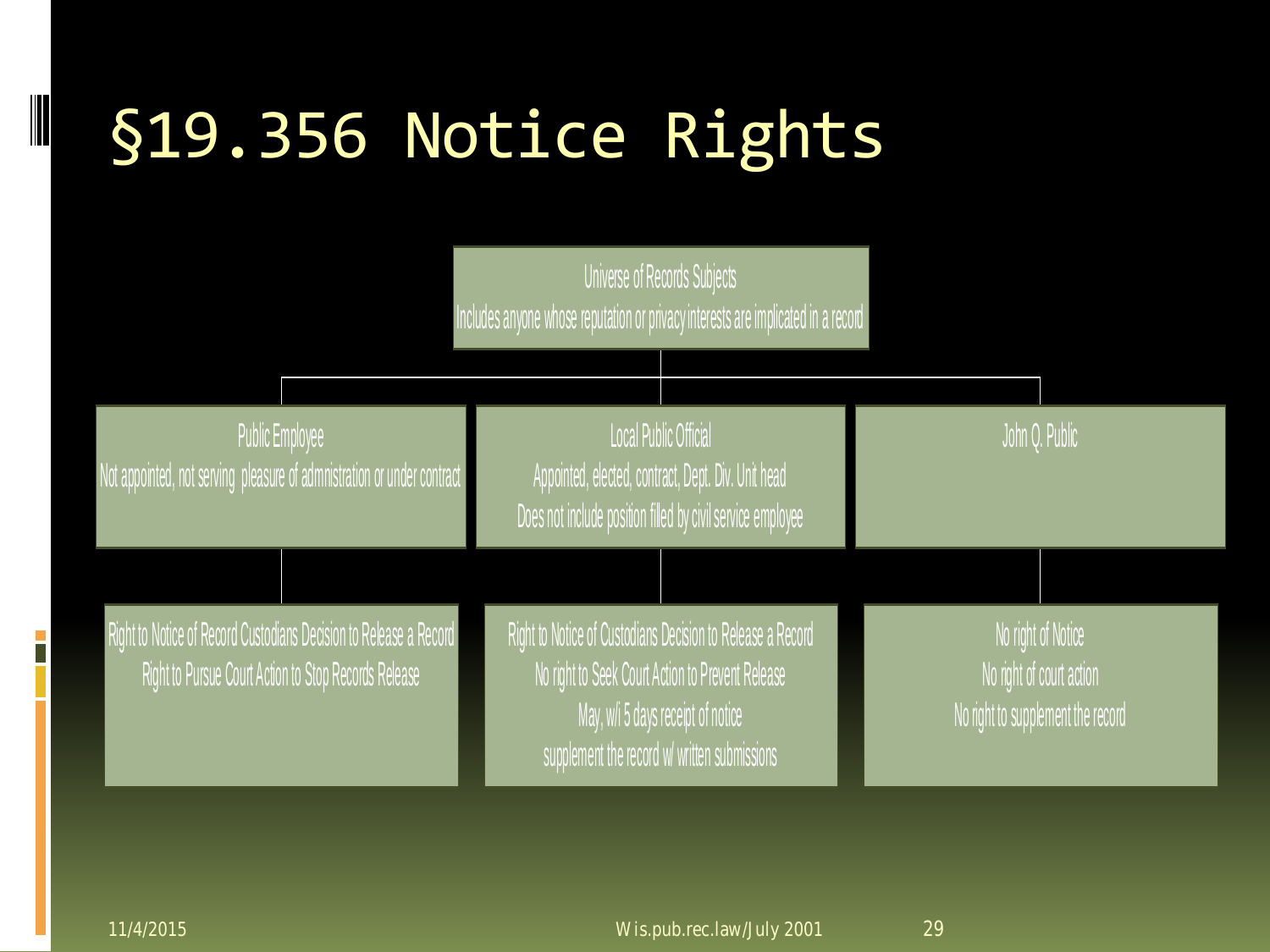### §19.356 Notice Rights



Public Employee Not appointed, not serving pleasure of admnistration or under contract

Local Public Official Appointed, elected, contract, Dept. Div. Unit head Does not include position filled by civil service employee

Right to Notice of Record Custodians Decision to Release a Record Right to Pursue Court Action to Stop Records Release

Right to Notice of Custodians Decision to Release a Record No right to Seek Court Action to Prevent Release May, w/i 5 days receipt of notice supplement the record w/ written submissions

No right of Notice No right of court action No right to supplement the record

John Q. Public

 $\overline{\phantom{a}}$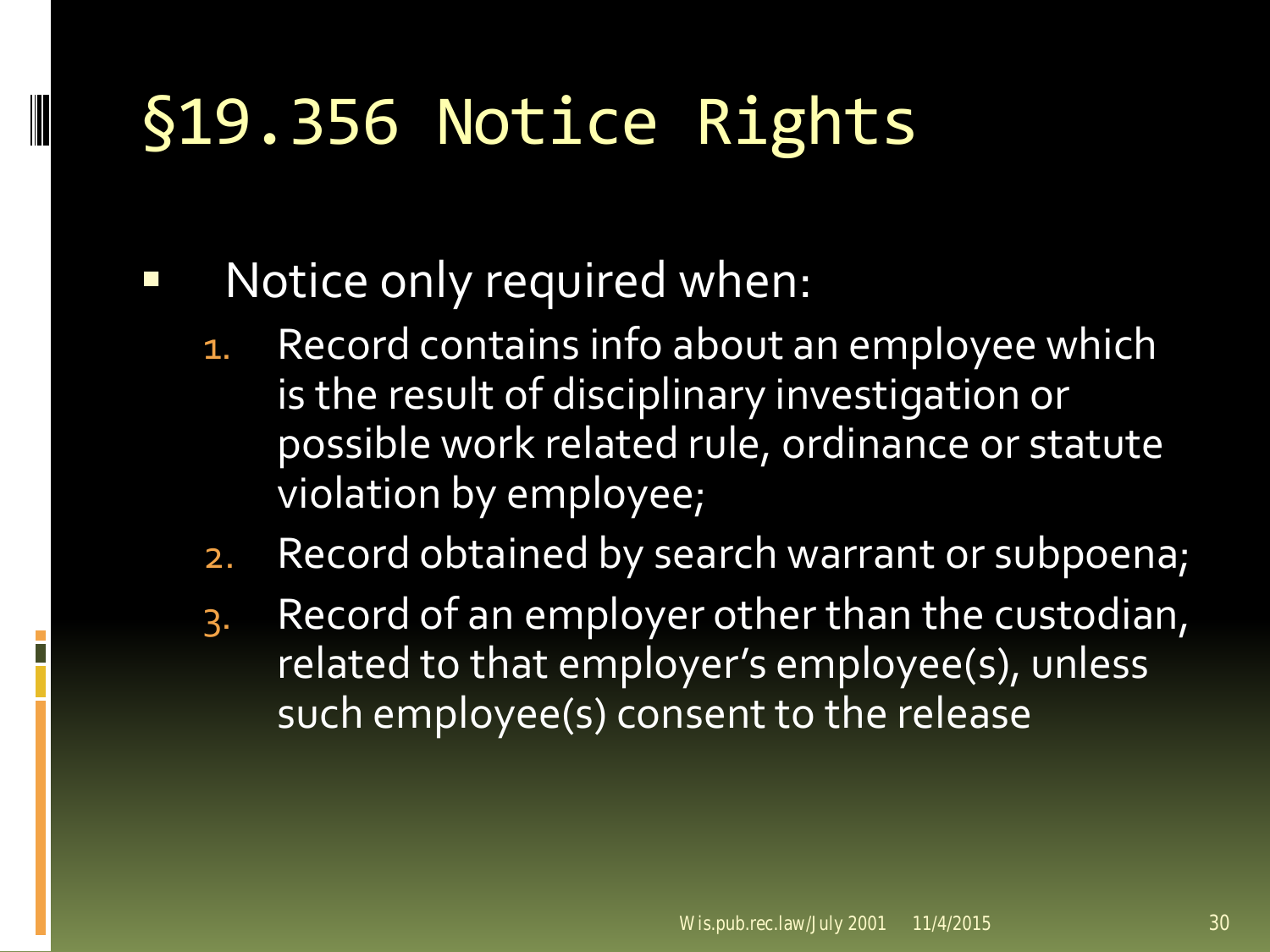### §19.356 Notice Rights

#### Notice only required when:

- 1. Record contains info about an employee which is the result of disciplinary investigation or possible work related rule, ordinance or statute violation by employee;
- 2. Record obtained by search warrant or subpoena;
- 3. Record of an employer other than the custodian, related to that employer's employee(s), unless such employee(s) consent to the release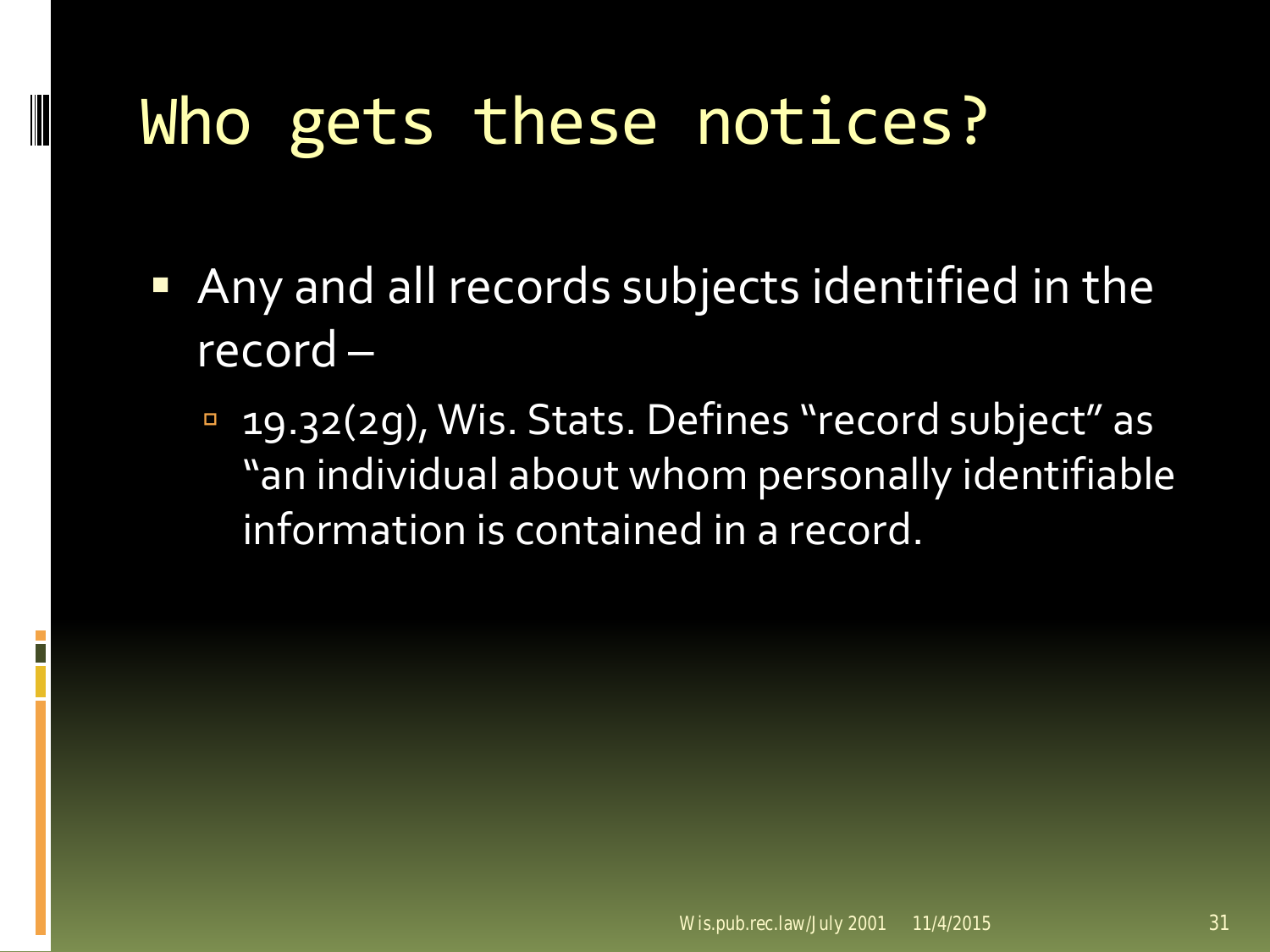### Who gets these notices?

- **Any and all records subjects identified in the** record –
	- **19.32(2g), Wis. Stats. Defines "record subject" as** "an individual about whom personally identifiable information is contained in a record.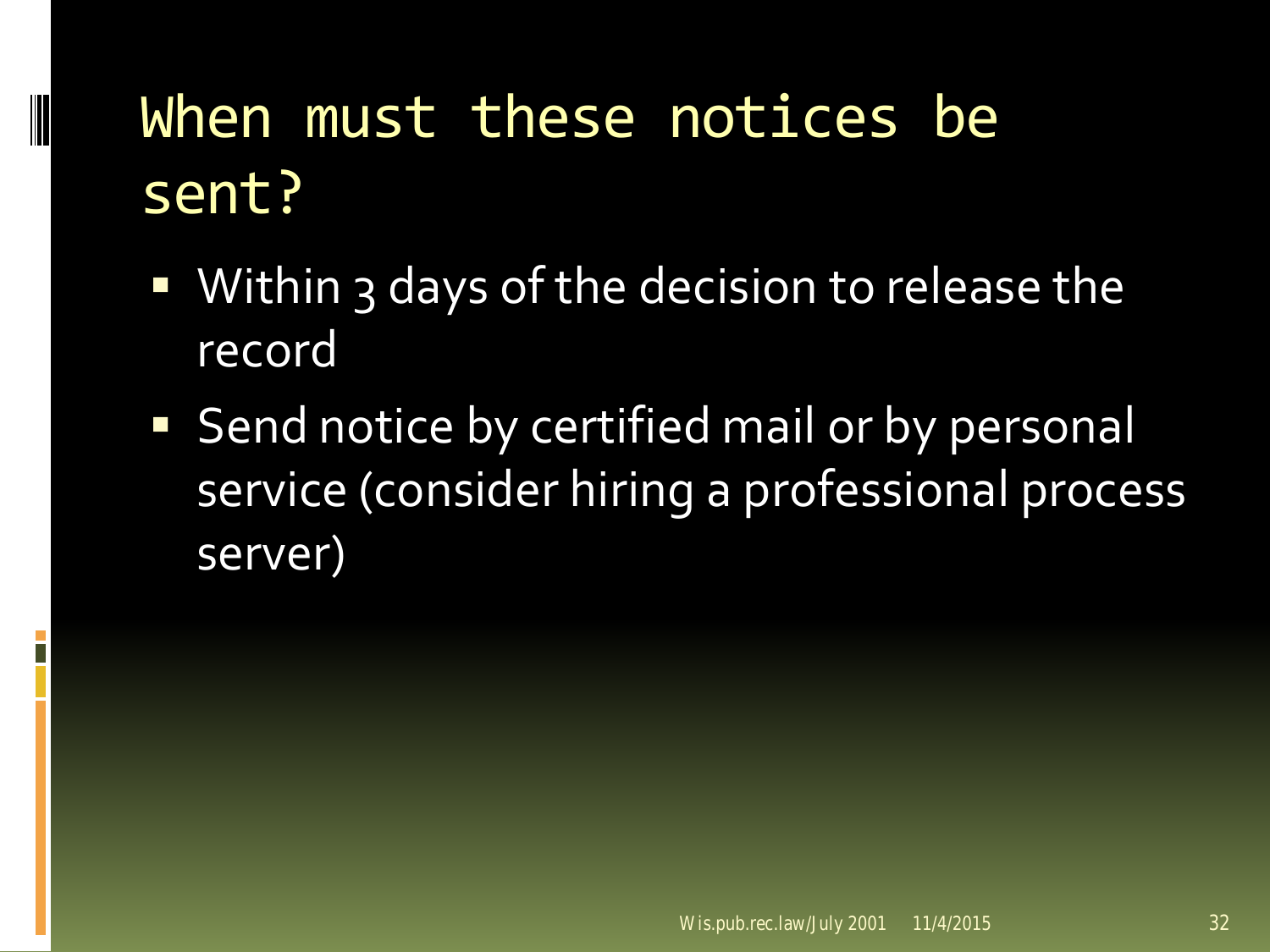#### When must these notices be sent?

- Within 3 days of the decision to release the record
- Send notice by certified mail or by personal service (consider hiring a professional process server)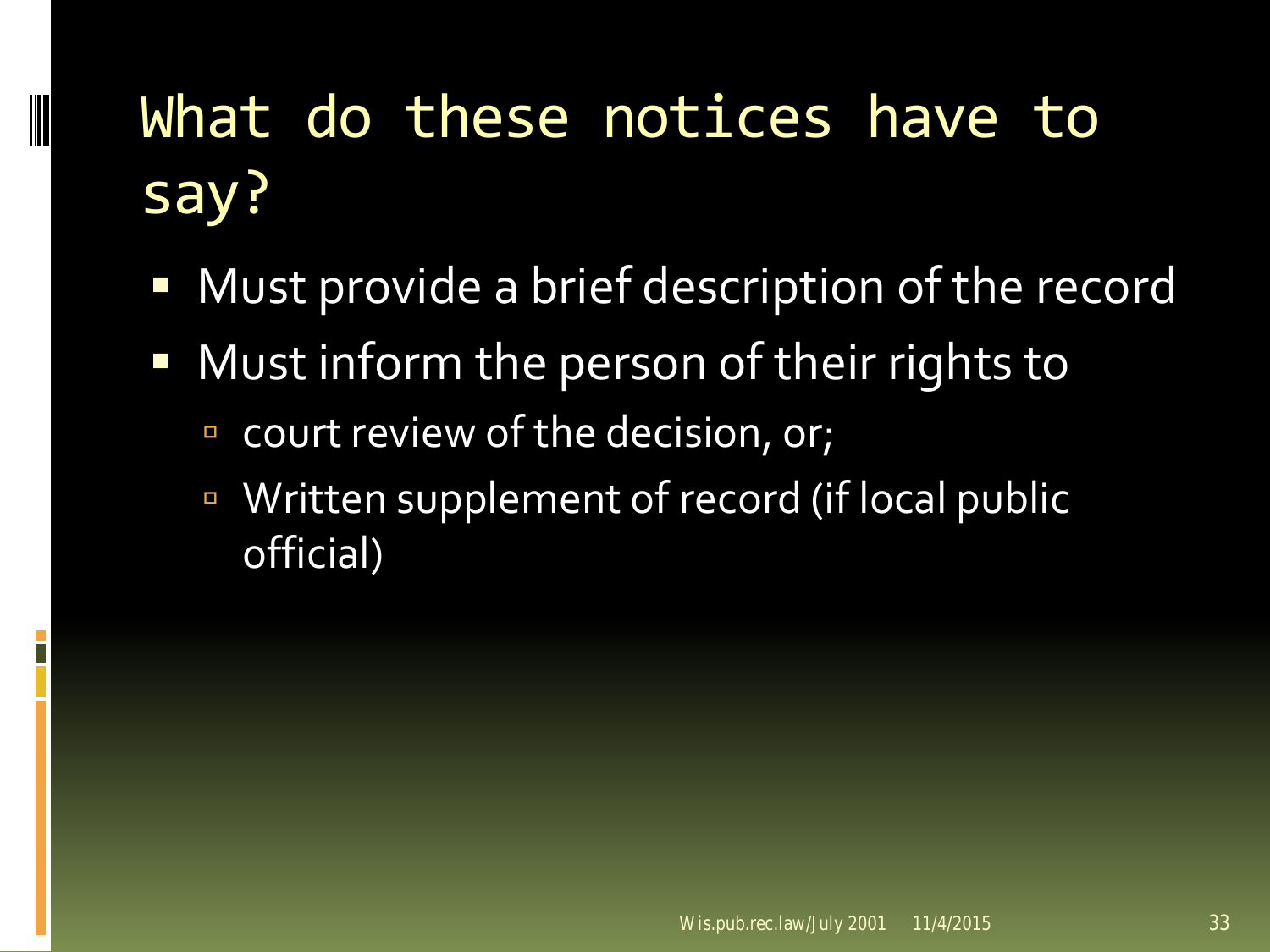### What do these notices have to say?

- Must provide a brief description of the record
- Must inform the person of their rights to
	- court review of the decision, or;

■ Written supplement of record (if local public official)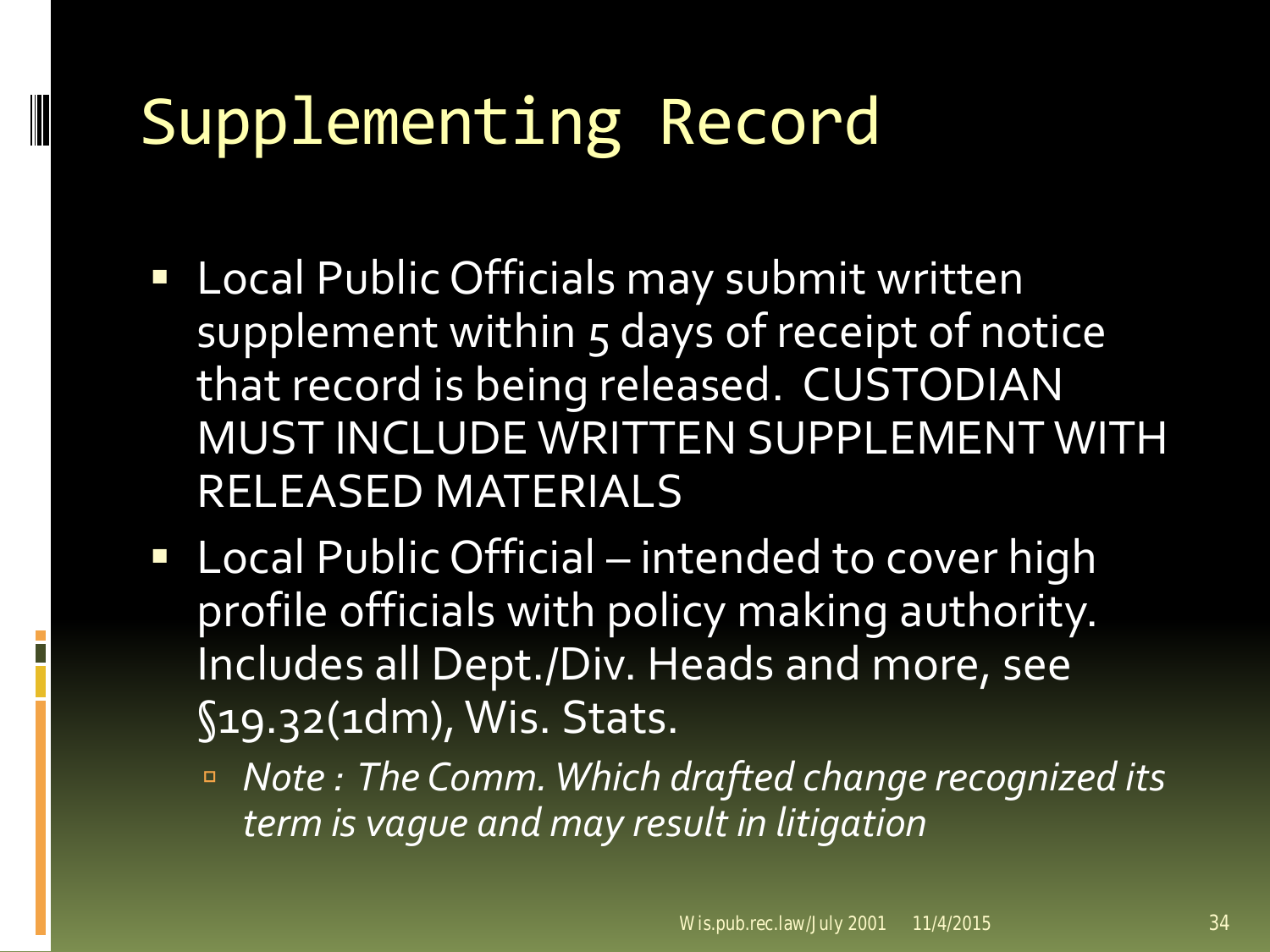### Supplementing Record

- **Local Public Officials may submit written** supplement within 5 days of receipt of notice that record is being released. CUSTODIAN MUST INCLUDE WRITTEN SUPPLEMENT WITH RELEASED MATERIALS
- Local Public Official intended to cover high profile officials with policy making authority. Includes all Dept./Div. Heads and more, see §19.32(1dm), Wis. Stats.
	- *Note : The Comm. Which drafted change recognized its term is vague and may result in litigation*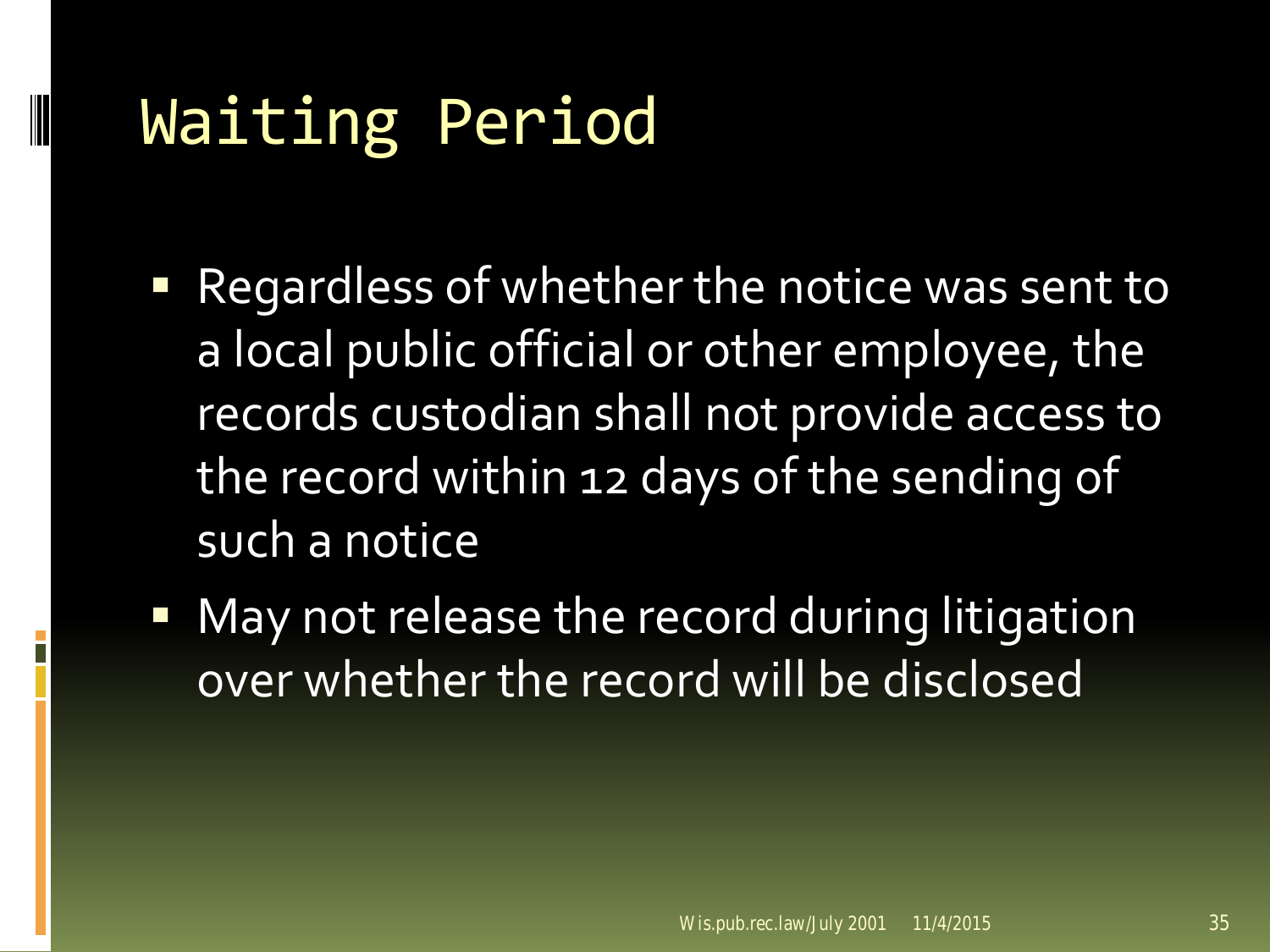### Waiting Period

- **P** Regardless of whether the notice was sent to a local public official or other employee, the records custodian shall not provide access to the record within 12 days of the sending of such a notice
- **May not release the record during litigation** over whether the record will be disclosed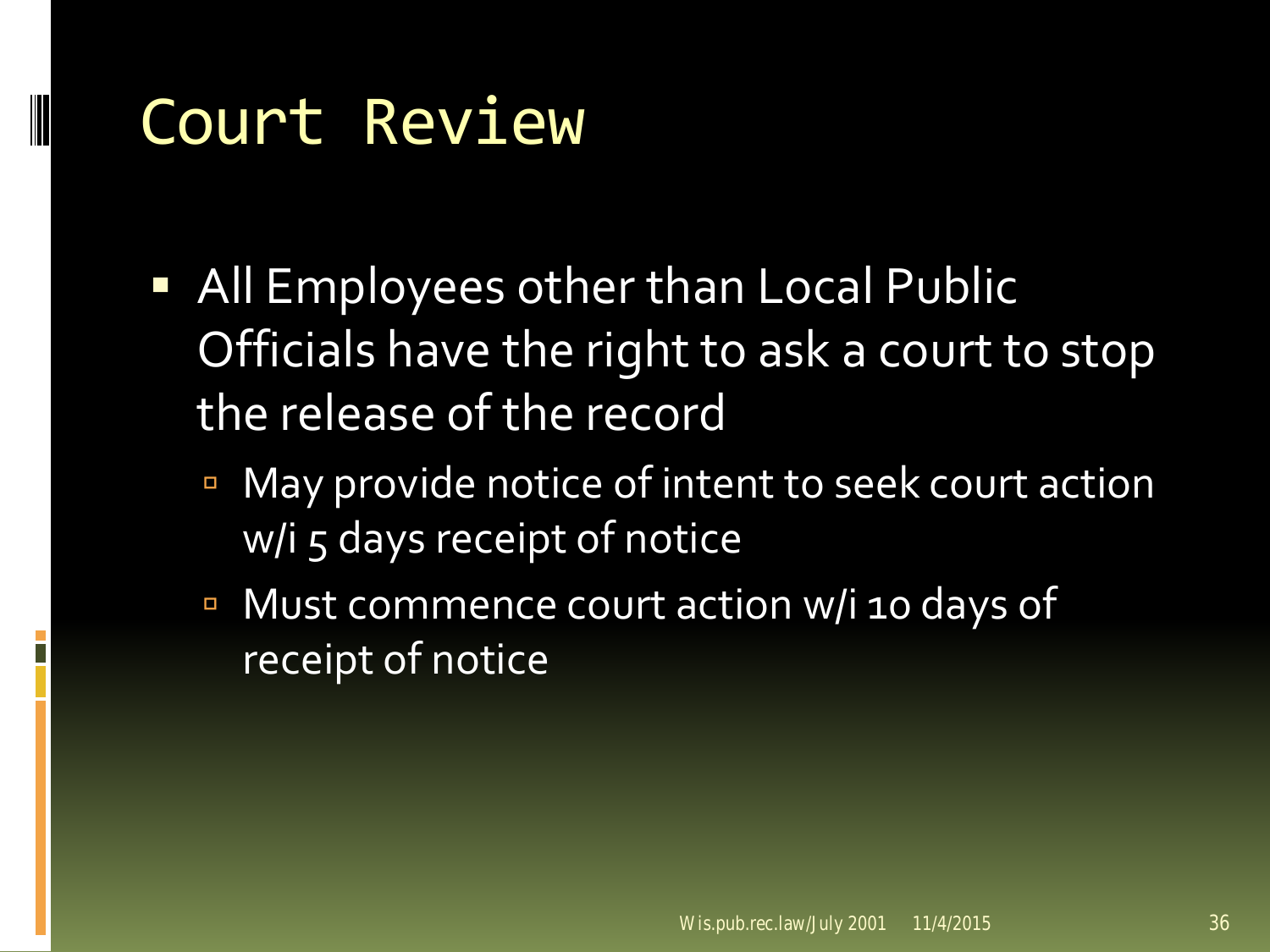### Court Review

- **All Employees other than Local Public** Officials have the right to ask a court to stop the release of the record
	- May provide notice of intent to seek court action w/i 5 days receipt of notice
	- Must commence court action w/i 10 days of receipt of notice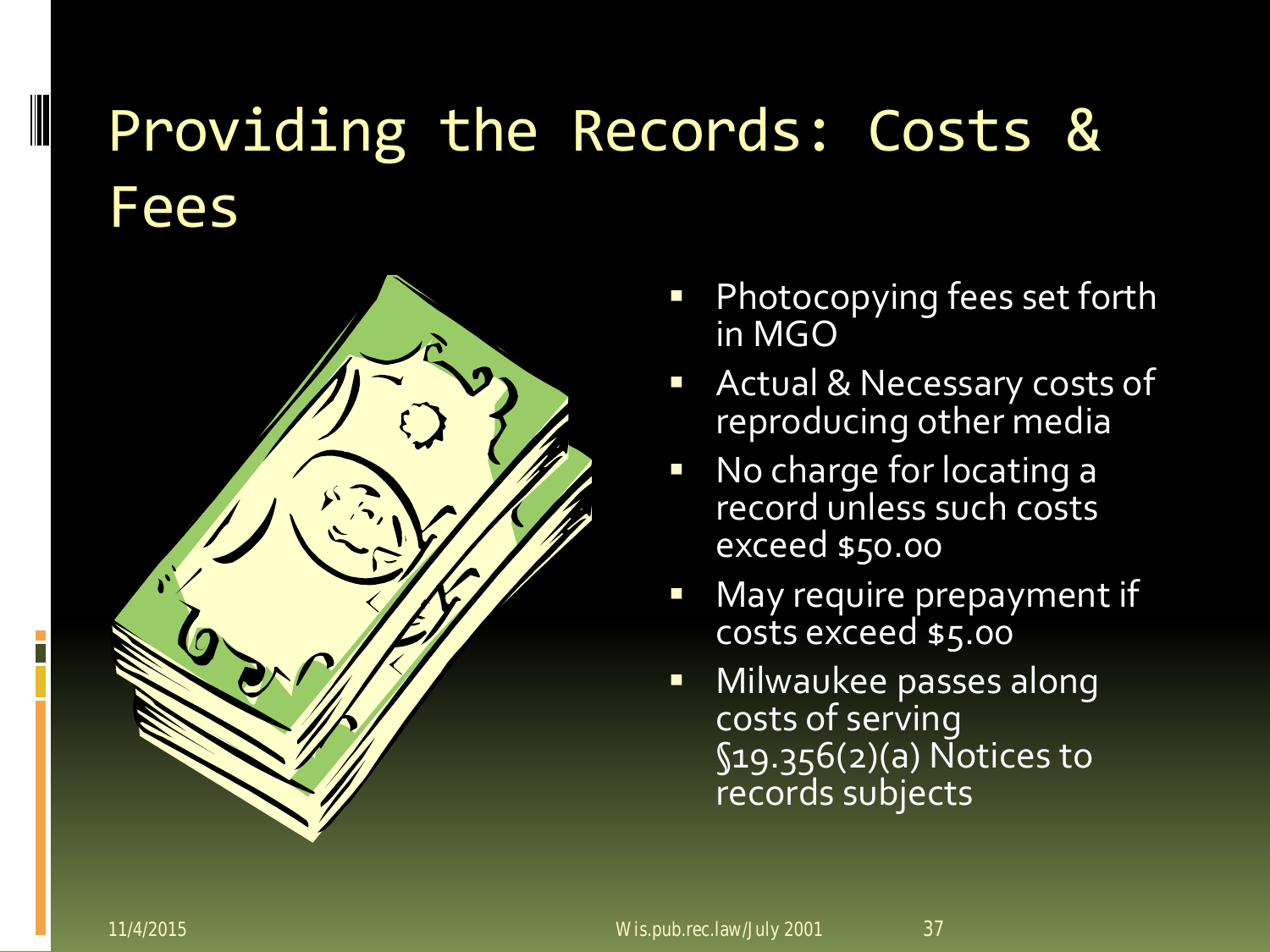#### Providing the Records: Costs & **Fees**



- Photocopying fees set forth in MGO
- **Actual & Necessary costs of** reproducing other media
- No charge for locating a record unless such costs exceed \$50.00
- May require prepayment if costs exceed \$5.00
- **Nilwaukee passes along** costs of serving §19.356(2)(a) Notices to records subjects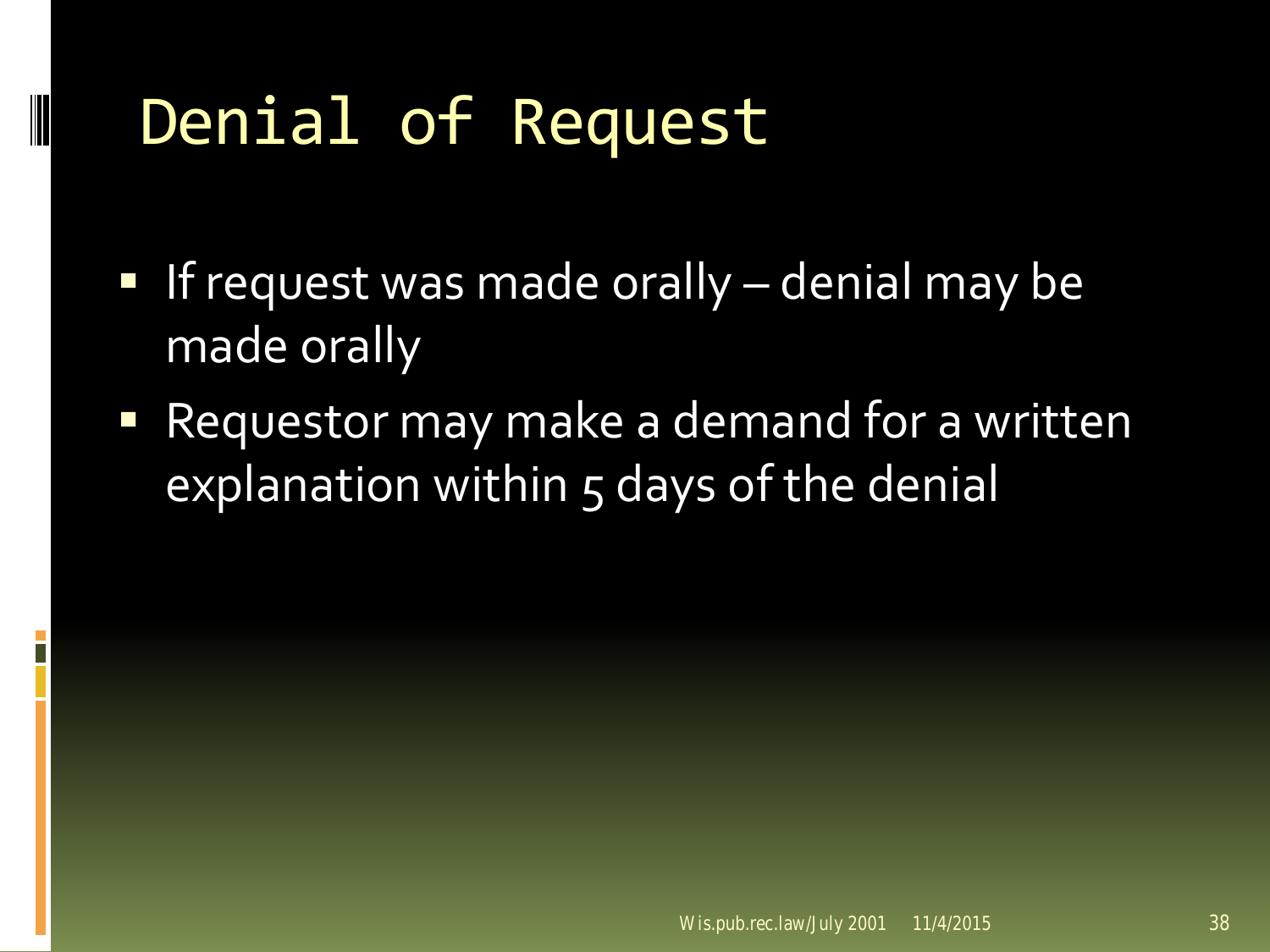### Denial of Request

- If request was made orally  $-$  denial may be made orally
- Requestor may make a demand for a written explanation within 5 days of the denial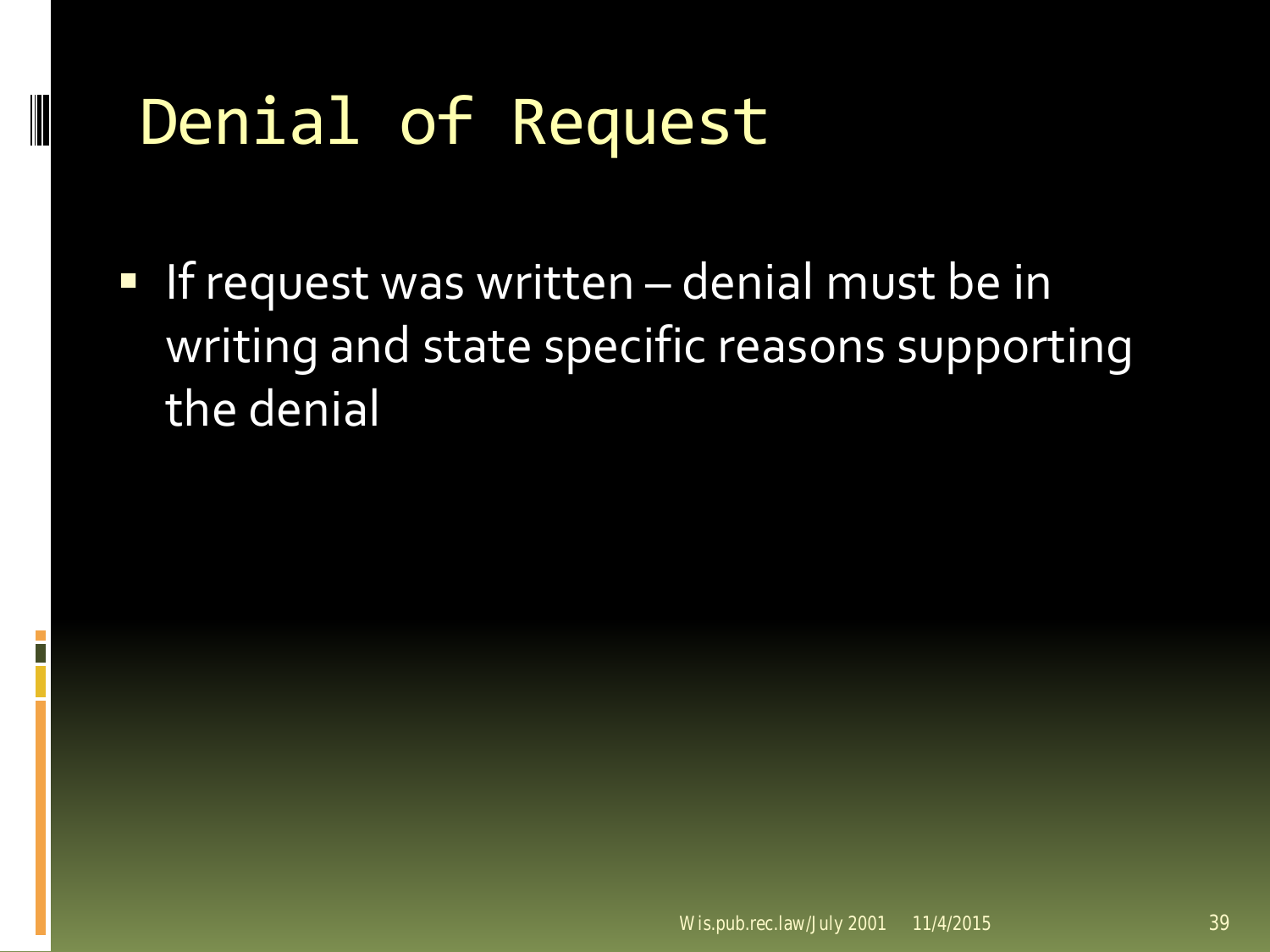### Denial of Request

If request was written  $-$  denial must be in writing and state specific reasons supporting the denial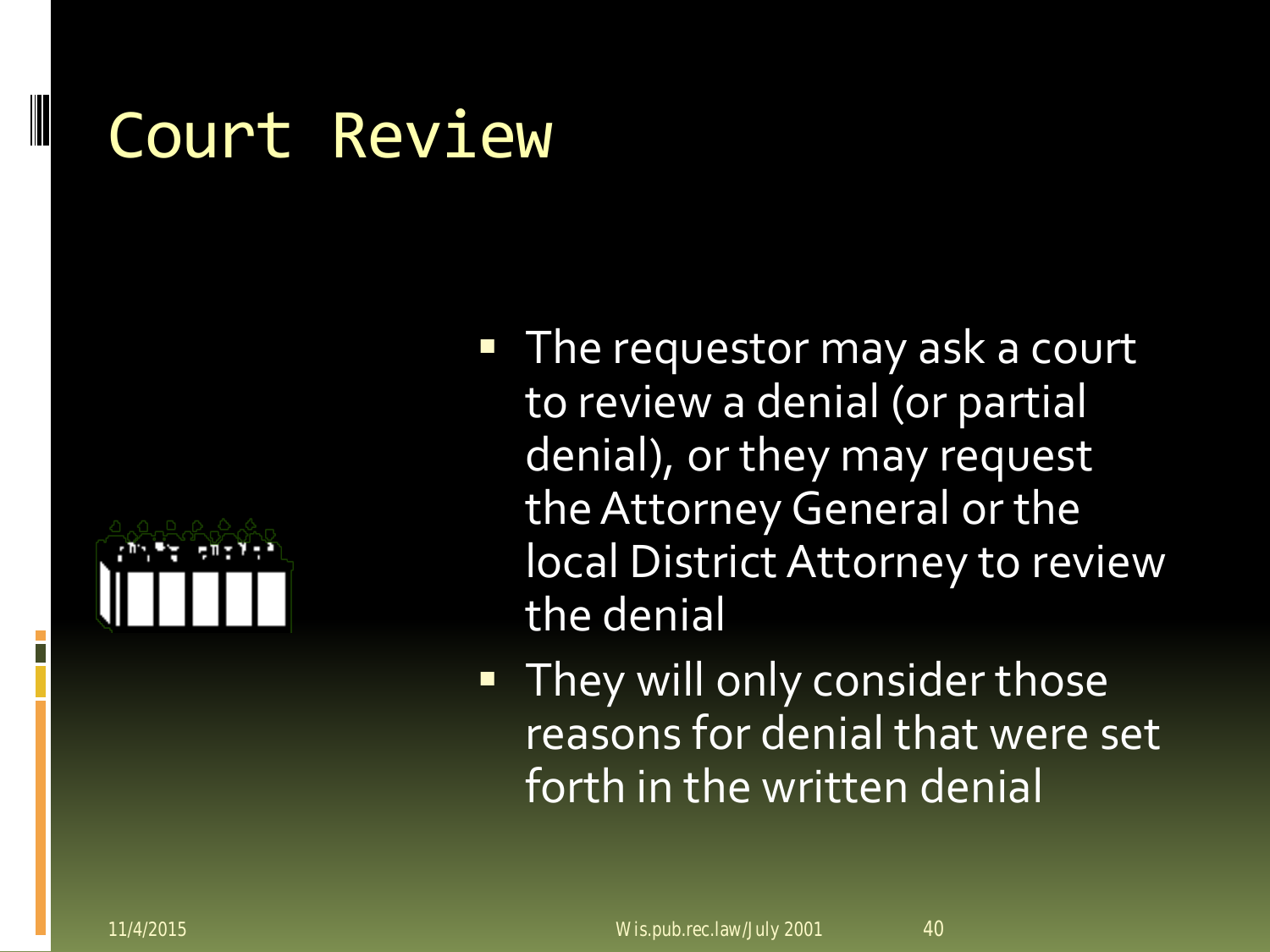#### Court Review



- **The requestor may ask a court** to review a denial (or partial denial), or they may request the Attorney General or the local District Attorney to review the denial
- **They will only consider those** reasons for denial that were set forth in the written denial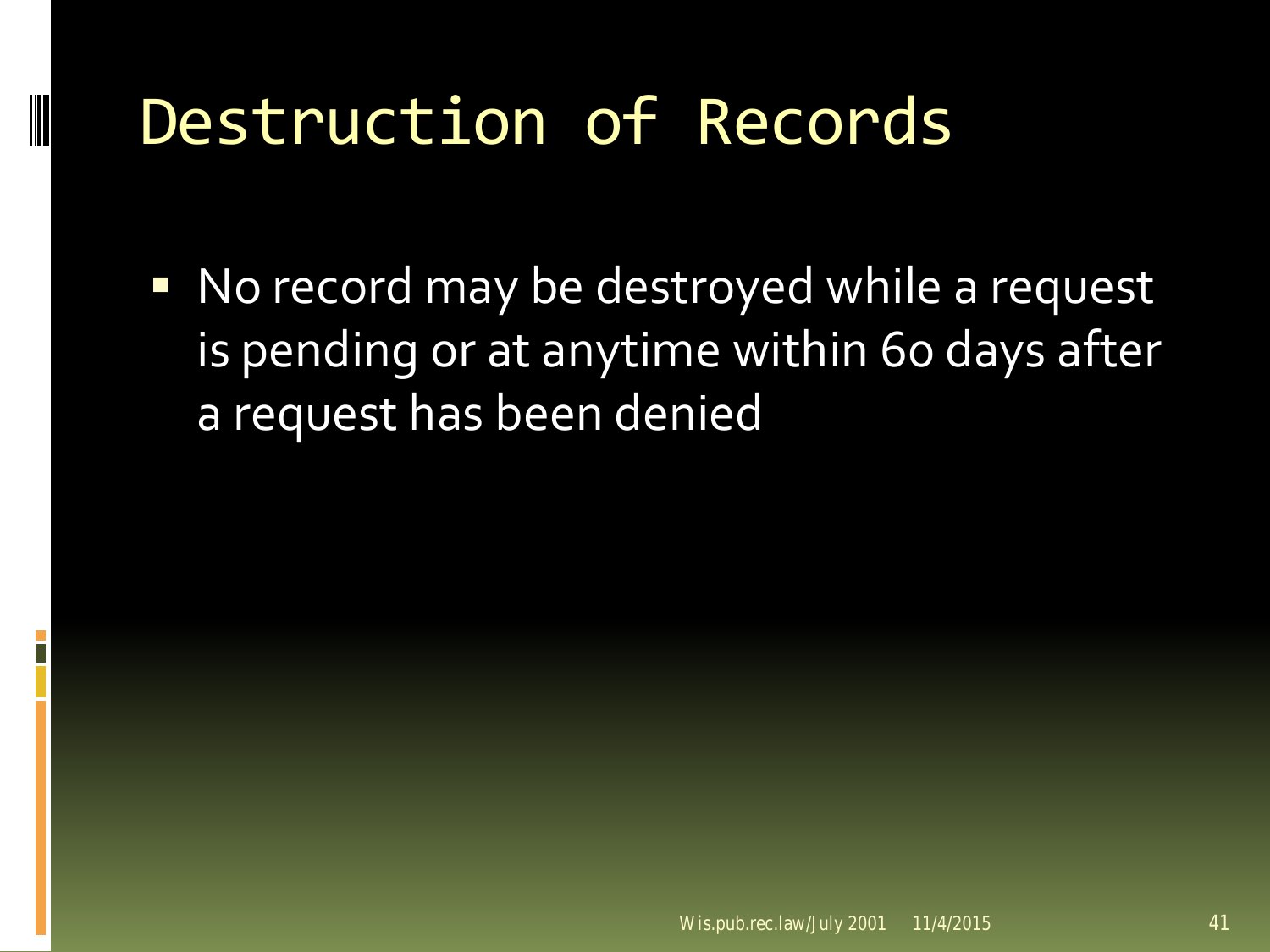#### Destruction of Records

**No record may be destroyed while a request** is pending or at anytime within 60 days after a request has been denied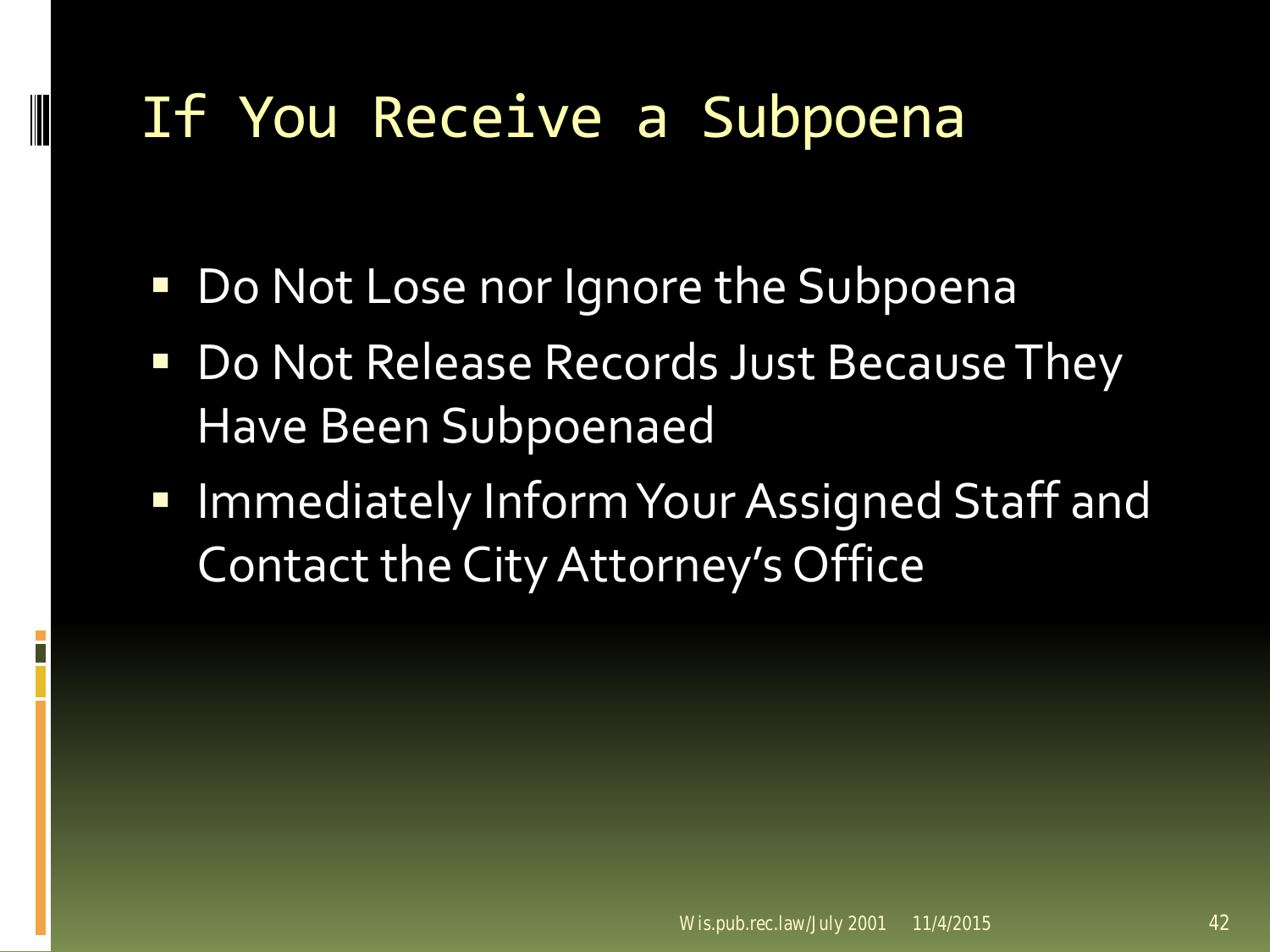#### If You Receive a Subpoena

- Do Not Lose nor Ignore the Subpoena
- Do Not Release Records Just Because They Have Been Subpoenaed
- **Immediately Inform Your Assigned Staff and** Contact the City Attorney's Office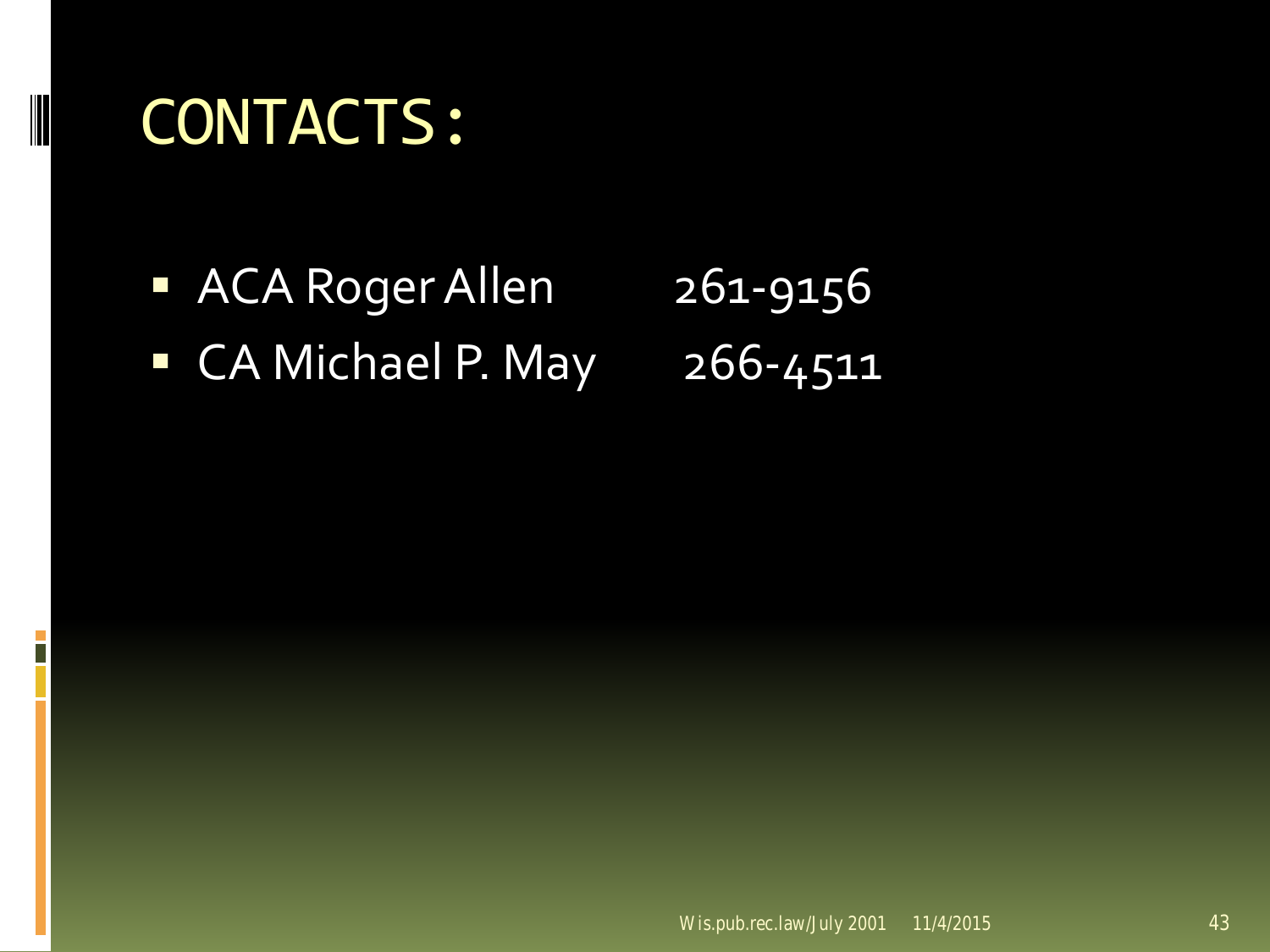#### CONTACTS:

ACA Roger Allen 261-9156 **CA Michael P. May 266-4511**